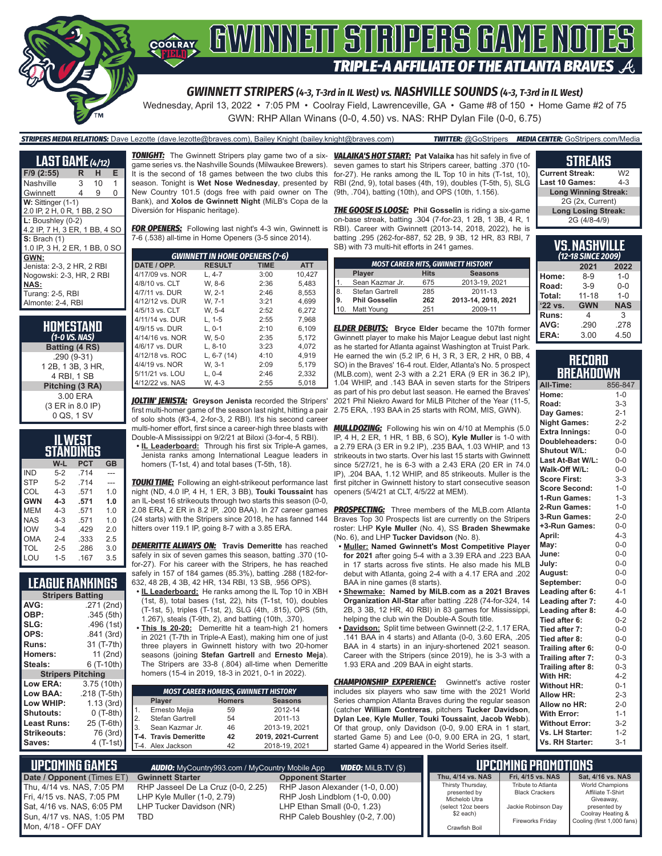

Wednesday, April 13, 2022 • 7:05 PM • Coolray Field, Lawrenceville, GA • Game #8 of 150 • Home Game #2 of 75 GWN: RHP Allan Winans (0-0, 4.50) vs. NAS: RHP Dylan File (0-0, 6.75)

#### *STRIPERS MEDIA RELATIONS:* Dave Lezotte (dave.lezotte@braves.com), Bailey Knight (bailey.knight@braves.com) *TWITTER:* @GoStripers *MEDIA CENTER:* GoStripers.com/Media

| <b>LAST GAME</b> (4/12)       |   |    |   |
|-------------------------------|---|----|---|
| $F/9$ (2:55)                  | R | н  | Е |
| Nashville                     | 3 | 10 | 1 |
| Gwinnett                      | 4 | 9  | 0 |
| W: Sittinger (1-1)            |   |    |   |
| 2.0 IP, 2 H, 0 R, 1 BB, 2 SO  |   |    |   |
| $L:$ Boushley (0-2)           |   |    |   |
| 4.2 IP, 7 H, 3 ER, 1 BB, 4 SO |   |    |   |
| $S:$ Brach $(1)$              |   |    |   |
| 1.0 IP, 3 H, 2 ER, 1 BB, 0 SO |   |    |   |
| GWN:                          |   |    |   |
| Jenista: 2-3, 2 HR, 2 RBI     |   |    |   |
| Nogowski: 2-3, HR, 2 RBI      |   |    |   |
| <b>NAS:</b>                   |   |    |   |
| Turang: 2-5, RBI              |   |    |   |
| Almonte: 2-4. RBI             |   |    |   |

**HOMESTAND** *(1-0 VS. NAS)* **Batting (4 RS)** .290 (9-31) 1 2B, 1 3B, 3 HR, 4 RBI, 1 SB **Pitching (3 RA)** 3.00 ERA (3 ER in 8.0 IP) 0 QS, 1 SV

| ILWEST<br>STANDINGS |         |            |           |  |
|---------------------|---------|------------|-----------|--|
|                     | W-L     | <b>PCT</b> | <b>GB</b> |  |
| <b>IND</b>          | $5-2$   | .714       |           |  |
| <b>STP</b>          | $5-2$   | .714       |           |  |
| COL                 | $4 - 3$ | .571       | 1.0       |  |
| <b>GWN</b>          | $4 - 3$ | .571       | 1.0       |  |
| MEM                 | $4 - 3$ | .571       | 1.0       |  |
| NAS                 | $4 - 3$ | .571       | 1.0       |  |
| <b>IOW</b>          | $3 - 4$ | .429       | 2.0       |  |
| OMA                 | $2 - 4$ | .333       | 2.5       |  |
| TOL                 | $2 - 5$ | .286       | 3.0       |  |
| LOU                 | $1 - 5$ | .167       | 3.5       |  |

### **LEAGUE RANKINGS**

| <b>Stripers Batting</b>  |              |
|--------------------------|--------------|
| AVG:                     | .271 (2nd)   |
| OBP:                     | .345(5th)    |
| SLG:                     | .496 (1st)   |
| OPS:                     | .841 (3rd)   |
| <b>Runs:</b>             | 31 (T-7th)   |
| Homers:                  | 11 (2nd)     |
| Steals:                  | 6 (T-10th)   |
| <b>Stripers Pitching</b> |              |
| <b>Low ERA:</b>          | 3.75 (10th)  |
| Low BAA:                 | .218 (T-5th) |
| Low WHIP:                | 1.13(3rd)    |
| <b>Shutouts:</b>         | 0 (T-8th)    |
| Least Runs:              | 25 (T-6th)   |
| Strikeouts:              | 76 (3rd)     |
| Saves:                   | 4 (T-1st)    |

*TONIGHT:* The Gwinnett Stripers play game two of a six-*VALAIKA'S HOT START:* **Pat Valaika** has hit safely in five of game series vs. the Nashville Sounds (Milwaukee Brewers). It is the second of 18 games between the two clubs this season. Tonight is **Wet Nose Wednesday**, presented by New Country 101.5 (dogs free with paid owner on The Bank), and **Xolos de Gwinnett Night** (MiLB's Copa de la Diversión for Hispanic heritage).

**FOR OPENERS:** Following last night's 4-3 win, Gwinnett is 7-6 (.538) all-time in Home Openers (3-5 since 2014).

| <b>GWINNETT IN HOME OPENERS (7-6)</b> |               |             |            |  |
|---------------------------------------|---------------|-------------|------------|--|
| DATE / OPP.                           | <b>RESULT</b> | <b>TIME</b> | <b>ATT</b> |  |
| 4/17/09 vs. NOR                       | $L, 4-7$      | 3:00        | 10.427     |  |
| 4/8/10 vs. CLT                        | W. 8-6        | 2:36        | 5.483      |  |
| 4/7/11 vs. DUR                        | W. 2-1        | 2:46        | 8.553      |  |
| 4/12/12 vs. DUR                       | W. 7-1        | 3:21        | 4.699      |  |
| 4/5/13 vs. CLT                        | W. 5-4        | 2:52        | 6.272      |  |
| 4/11/14 vs. DUR                       | L. 1-5        | 2:55        | 7.968      |  |
| 4/9/15 vs. DUR                        | $L.0-1$       | 2:10        | 6.109      |  |
| 4/14/16 vs. NOR                       | W. 5-0        | 2:35        | 5.172      |  |
| 4/6/17 vs. DUR                        | $L.8-10$      | 3:23        | 4.072      |  |
| 4/12/18 vs. ROC                       | L, $6-7(14)$  | 4:10        | 4,919      |  |
| 4/4/19 vs. NOR                        | W. 3-1        | 2:09        | 5.179      |  |
| 5/11/21 vs. LOU                       | $L.0-4$       | 2:46        | 2.332      |  |
| 4/12/22 vs. NAS                       | W. 4-3        | 2:55        | 5.018      |  |

*JOLTIN' JENISTA:* **Greyson Jenista** recorded the Stripers' first multi-homer game of the season last night, hitting a pair of solo shots (#3-4, 2-for-3, 2 RBI). It's his second career multi-homer effort, first since a career-high three blasts with

Double-A Mississippi on 9/2/21 at Biloxi (3-for-4, 5 RBI). **• IL Leaderboard:** Through his first six Triple-A games,

Jenista ranks among International League leaders in homers (T-1st, 4) and total bases (T-5th, 18).

*TOUKI TIME:* Following an eight-strikeout performance last first pitcher in Gwinnett history to start consecutive season night (ND, 4.0 IP, 4 H, 1 ER, 3 BB), **Touki Toussaint** has an IL-best 16 strikeouts through two starts this season (0-0, 2.08 ERA, 2 ER in 8.2 IP, .200 BAA). In 27 career games *PROSPECTING:* Three members of the MLB.com Atlanta (24 starts) with the Stripers since 2018, he has fanned 144 hitters over 119.1 IP, going 8-7 with a 3.85 ERA.

*DEMERITTE ALWAYS ON:* **Travis Demeritte** has reached safely in six of seven games this season, batting .370 (10 for-27). For his career with the Stripers, he has reached safely in 157 of 184 games (85.3%), batting .288 (182-for-632, 48 2B, 4 3B, 42 HR, 134 RBI, 13 SB, .956 OPS).

**• IL Leaderboard:** He ranks among the IL Top 10 in XBH (1st, 8), total bases (1st, 22), hits (T-1st, 10), doubles (T-1st, 5), triples (T-1st, 2), SLG (4th, .815), OPS (5th, 1.267), steals (T-9th, 2), and batting (10th, .370).

**• This Is 20-20:** Demeritte hit a team-high 21 homers in 2021 (T-7th in Triple-A East), making him one of just three players in Gwinnett history with two 20-homer seasons (joining **Stefan Gartrell** and **Ernesto Meja**). The Stripers are 33-8 (.804) all-time when Demeritte homers (15-4 in 2019, 18-3 in 2021, 0-1 in 2022).

| <b>MOST CAREER HOMERS, GWINNETT HISTORY</b> |                       |               |                    |  |
|---------------------------------------------|-----------------------|---------------|--------------------|--|
|                                             | Player                | <b>Homers</b> | <b>Seasons</b>     |  |
| 1 <sub>1</sub>                              | Ernesto Mejia         | 59            | 2012-14            |  |
| 2.                                          | Stefan Gartrell       | 54            | 2011-13            |  |
| 13.                                         | Sean Kazmar Jr.       | 46            | 2013-19, 2021      |  |
|                                             | T-4. Travis Demeritte | 42            | 2019, 2021-Current |  |
|                                             | T-4. Alex Jackson     | 42            | 2018-19, 2021      |  |

seven games to start his Stripers career, batting .370 (10 for-27). He ranks among the IL Top 10 in hits (T-1st, 10), RBI (2nd, 9), total bases (4th, 19), doubles (T-5th, 5), SLG (9th, .704), batting (10th), and OPS (10th, 1.156).

*THE GOOSE IS LOOSE:* **Phil Gosselin** is riding a six-game on-base streak, batting .304 (7-for-23, 1 2B, 1 3B, 4 R, 1 RBI). Career with Gwinnett (2013-14, 2018, 2022), he is batting .295 (262-for-887, 52 2B, 9 3B, 12 HR, 83 RBI, 7 SB) with 73 multi-hit efforts in 241 games.

| <b>MOST CAREER HITS, GWINNETT HISTORY</b> |                      |             |                     |  |
|-------------------------------------------|----------------------|-------------|---------------------|--|
|                                           | Player               | <b>Hits</b> | <b>Seasons</b>      |  |
|                                           | Sean Kazmar Jr.      | 675         | 2013-19, 2021       |  |
| 8.                                        | Stefan Gartrell      | 285         | 2011-13             |  |
| l9.                                       | <b>Phil Gosselin</b> | 262         | 2013-14. 2018. 2021 |  |
| 110                                       | Matt Young           | 251         | 2009-11             |  |

*ELDER DEBUTS:* **Bryce Elder** became the 107th former Gwinnett player to make his Major League debut last night as he started for Atlanta against Washington at Truist Park. He earned the win (5.2 IP, 6 H, 3 R, 3 ER, 2 HR, 0 BB, 4 SO) in the Braves' 16-4 rout. Elder, Atlanta's No. 5 prospect (MLB.com), went 2-3 with a 2.21 ERA (9 ER in 36.2 IP), 1.04 WHIP, and .143 BAA in seven starts for the Stripers as part of his pro debut last season. He earned the Braves' 2021 Phil Niekro Award for MiLB Pitcher of the Year (11-5, 2.75 ERA, .193 BAA in 25 starts with ROM, MIS, GWN).

*MULLDOZING:* Following his win on 4/10 at Memphis (5.0 IP, 4 H, 2 ER, 1 HR, 1 BB, 6 SO), **Kyle Muller** is 1-0 with a 2.79 ERA (3 ER in 9.2 IP), .235 BAA, 1.03 WHIP, and 13 strikeouts in two starts. Over his last 15 starts with Gwinnett since 5/27/21, he is 6-3 with a 2.43 ERA (20 ER in 74.0 IP), .204 BAA, 1.12 WHIP, and 85 strikeouts. Muller is the openers (5/4/21 at CLT, 4/5/22 at MEM).

Braves Top 30 Prospects list are currently on the Stripers roster: LHP **Kyle Muller** (No. 4), SS **Braden Shewmake**  (No. 6), and LHP **Tucker Davidson** (No. 8).

- **• Muller: Named Gwinnett's Most Competitive Player for 2021** after going 5-4 with a 3.39 ERA and .223 BAA in 17 starts across five stints. He also made his MLB debut with Atlanta, going 2-4 with a 4.17 ERA and .202 BAA in nine games (8 starts).
- **• Shewmake: Named by MiLB.com as a 2021 Braves Organization All-Star** after batting .228 (74-for-324, 14 2B, 3 3B, 12 HR, 40 RBI) in 83 games for Mississippi, helping the club win the Double-A South title.
- **• Davidson:** Split time between Gwinnett (2-2, 1.17 ERA, .141 BAA in 4 starts) and Atlanta (0-0, 3.60 ERA, .205 BAA in 4 starts) in an injury-shortened 2021 season. Career with the Stripers (since 2019), he is 3-3 with a 1.93 ERA and .209 BAA in eight starts.

**CHAMPIONSHIP EXPERIENCE:** Gwinnett's active roster includes six players who saw time with the 2021 World Series champion Atlanta Braves during the regular season (catcher **William Contreras**, pitchers **Tucker Davidson**, **Dylan Lee**, **Kyle Muller**, **Touki Toussaint**, **Jacob Webb**). Of that group, only Davidson (0-0, 9.00 ERA in 1 start, started Game 5) and Lee (0-0, 9.00 ERA in 2G, 1 start, started Game 4) appeared in the World Series itself.

#### **STREAKS**

| <b>Current Streak:</b>      | W2      |  |
|-----------------------------|---------|--|
| <b>Last 10 Games:</b>       | $4 - 3$ |  |
| <b>Long Winning Streak:</b> |         |  |
| 2G (2x, Current)            |         |  |
| <b>Long Losing Streak:</b>  |         |  |
| 2G (4/8-4/9)                |         |  |

| <u>VS. Nashville</u><br>(12-18 SINCE 2009) |            |            |  |
|--------------------------------------------|------------|------------|--|
|                                            | 2021       | 2022       |  |
| Home:                                      | $8-9$      | $1 - 0$    |  |
| Road:                                      | $3-9$      | $0 - 0$    |  |
| Total:                                     | $11 - 18$  | $1 - 0$    |  |
| '22 vs.                                    | <b>GWN</b> | <b>NAS</b> |  |
| Runs:                                      | 4          | 3          |  |
| AVG:                                       | .290       | .278       |  |
| ERA:                                       | 3.00       | 4.50       |  |

#### **RECORD BREAKDOWN**

| All-Time:             | 856-847 |
|-----------------------|---------|
| Home:                 | $1 - 0$ |
| Road:                 | $3 - 3$ |
| Day Games:            | $2 - 1$ |
| <b>Night Games:</b>   | $2 - 2$ |
| <b>Extra Innings:</b> | $0-0$   |
| Doubleheaders:        | $0 - 0$ |
| Shutout W/L:          | $0-0$   |
| Last At-Bat W/L:      | $0 - 0$ |
| Walk-Off W/L:         | $0-0$   |
| <b>Score First:</b>   | $3 - 3$ |
| <b>Score Second:</b>  | $1 - 0$ |
| 1-Run Games:          | $1 - 3$ |
| 2-Run Games:          | $1 - 0$ |
| 3-Run Games:          | $2 - 0$ |
| +3-Run Games:         | $0-0$   |
| April:                | $4 - 3$ |
| May:                  | $0 - 0$ |
| June:                 | $0-0$   |
| July:                 | $0 - 0$ |
| August:               | $0 - 0$ |
| September:            | $0 - 0$ |
| Leading after 6:      | $4 - 1$ |
| Leading after 7:      | $4 - 0$ |
| Leading after 8:      | $4 - 0$ |
| Tied after 6:         | $0 - 2$ |
| Tied after 7:         | $0 - 0$ |
| Tied after 8:         | $0 - 0$ |
| Trailing after 6:     | $0 - 0$ |
| Trailing after 7:     | $0 - 3$ |
| Trailing after 8:     | $0 - 3$ |
| With HR:              | $4 - 2$ |
| <b>Without HR:</b>    | $0 - 1$ |
| <b>Allow HR:</b>      | $2 - 3$ |
| Allow no HR:          | $2 - 0$ |
| <b>With Error:</b>    | $1 - 1$ |
| <b>Without Error:</b> | $3-2$   |
| Vs. LH Starter:       | $1 - 2$ |
| Vs. RH Starter:       | $3 - 1$ |

| Date / Opponent (Times ET)<br><b>Gwinnett Starter</b><br><b>Opponent Starter</b><br>RHP Jason Alexander (1-0, 0.00)<br>RHP Jasseel De La Cruz (0-0, 2.25)                                                                                           |                                                                                                        | <b>UPCOMING PROMOTIONS</b>                                                                    |                                                                                                                             |
|-----------------------------------------------------------------------------------------------------------------------------------------------------------------------------------------------------------------------------------------------------|--------------------------------------------------------------------------------------------------------|-----------------------------------------------------------------------------------------------|-----------------------------------------------------------------------------------------------------------------------------|
| Thu. 4/14 vs. NAS. 7:05 PM<br>Fri. 4/15 vs. NAS. 7:05 PM                                                                                                                                                                                            | Thu, 4/14 vs. NAS                                                                                      | Fri. 4/15 vs. NAS                                                                             | Sat, 4/16 vs. NAS                                                                                                           |
| LHP Kyle Muller (1-0, 2.79)<br>RHP Josh Lindblom (1-0, 0.00)<br>LHP Tucker Davidson (NR)<br>LHP Ethan Small (0-0, 1.23)<br>Sat, 4/16 vs. NAS, 6:05 PM<br>RHP Caleb Boushley (0-2, 7.00)<br>Sun, 4/17 vs. NAS, 1:05 PM<br>TBD<br>Mon. 4/18 - OFF DAY | Thirsty Thursday,<br>presented by<br>Michelob Utra<br>(select 12oz beers<br>\$2 each)<br>Crawfish Boil | Tribute to Atlanta<br><b>Black Crackers</b><br>Jackie Robinson Day<br><b>Fireworks Fridav</b> | <b>World Champions</b><br>Affiliate T-Shirt<br>Giveaway,<br>presented by<br>Coolray Heating &<br>Cooling (first 1,000 fans) |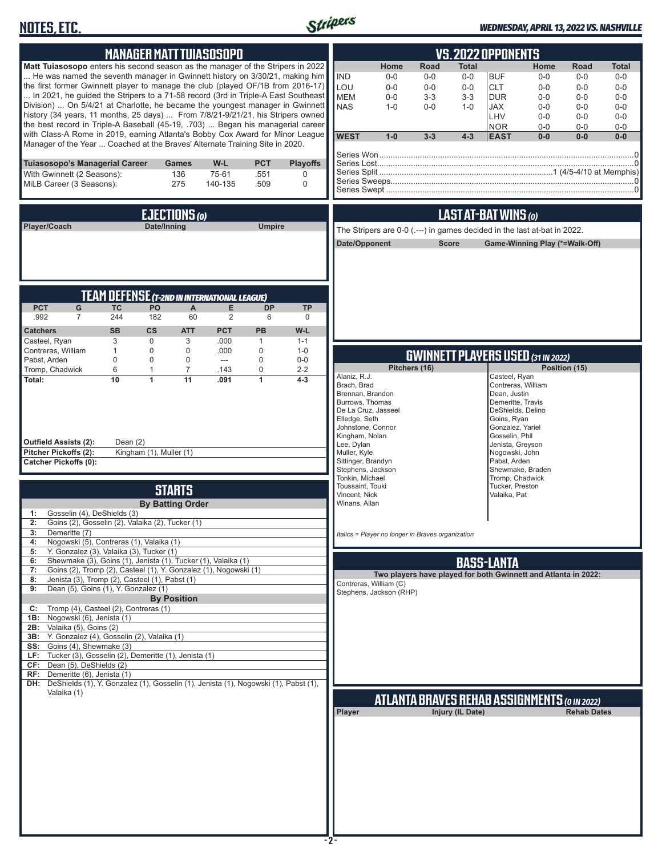# **NOTES, ETC.**



#### *WEDNESDAY, APRIL 13, 2022 VS. NASHVILLE*

| <b>MANAGER MATT TUIASOSOPO</b>                                                                                                                                                                                                                                                                                                                                                                                                                                                                                                                                                                                                                                                                                                                                                                                      | <b>VS.2022 OPPONENTS</b>                                                                                                                                                                                                                                                                                                                                                                                                                                                                                                                                                                                        |
|---------------------------------------------------------------------------------------------------------------------------------------------------------------------------------------------------------------------------------------------------------------------------------------------------------------------------------------------------------------------------------------------------------------------------------------------------------------------------------------------------------------------------------------------------------------------------------------------------------------------------------------------------------------------------------------------------------------------------------------------------------------------------------------------------------------------|-----------------------------------------------------------------------------------------------------------------------------------------------------------------------------------------------------------------------------------------------------------------------------------------------------------------------------------------------------------------------------------------------------------------------------------------------------------------------------------------------------------------------------------------------------------------------------------------------------------------|
| Matt Tuiasosopo enters his second season as the manager of the Stripers in 2022<br>He was named the seventh manager in Gwinnett history on 3/30/21, making him<br>the first former Gwinnett player to manage the club (played OF/1B from 2016-17)<br>In 2021, he guided the Stripers to a 71-58 record (3rd in Triple-A East Southeast<br>Division)  On 5/4/21 at Charlotte, he became the youngest manager in Gwinnett<br>history (34 years, 11 months, 25 days)  From 7/8/21-9/21/21, his Stripers owned<br>the best record in Triple-A Baseball (45-19, .703)  Began his managerial career<br>with Class-A Rome in 2019, earning Atlanta's Bobby Cox Award for Minor League<br>Manager of the Year  Coached at the Braves' Alternate Training Site in 2020.                                                      | <b>Road</b><br>Home<br><b>Total</b><br>Home<br><b>Road</b><br><b>Total</b><br><b>IND</b><br><b>BUF</b><br>$0-0$<br>$0-0$<br>$0-0$<br>$0-0$<br>$0-0$<br>$0-0$<br>LOU<br><b>CLT</b><br>$0-0$<br>$0-0$<br>$0 - 0$<br>$0-0$<br>$0 - 0$<br>$0 - 0$<br><b>MEM</b><br>$0 - 0$<br>$3 - 3$<br>$3 - 3$<br><b>DUR</b><br>$0-0$<br>$0 - 0$<br>$0-0$<br><b>NAS</b><br>$1 - 0$<br>$0-0$<br><b>JAX</b><br>$0 - 0$<br>$0 - 0$<br>$0-0$<br>$1 - 0$<br><b>LHV</b><br>$0-0$<br>$0-0$<br>$0 - 0$<br><b>NOR</b><br>$0-0$<br>$0-0$<br>$0-0$<br><b>WEST</b><br>$1-0$<br>$3 - 3$<br>$4 - 3$<br><b>EAST</b><br>$0 - 0$<br>$0 - 0$<br>0-0 |
| $W-L$<br><b>PCT</b><br>Tuiasosopo's Managerial Career<br><b>Games</b><br><b>Playoffs</b><br>With Gwinnett (2 Seasons):<br>136<br>75-61<br>.551<br>0<br>MiLB Career (3 Seasons):<br>275<br>140-135<br>.509<br>$\mathbf 0$                                                                                                                                                                                                                                                                                                                                                                                                                                                                                                                                                                                            |                                                                                                                                                                                                                                                                                                                                                                                                                                                                                                                                                                                                                 |
| EJECTIONS (0)                                                                                                                                                                                                                                                                                                                                                                                                                                                                                                                                                                                                                                                                                                                                                                                                       | LAST AT-BAT WINS (0)                                                                                                                                                                                                                                                                                                                                                                                                                                                                                                                                                                                            |
| Player/Coach<br>Date/Inning<br><b>Umpire</b>                                                                                                                                                                                                                                                                                                                                                                                                                                                                                                                                                                                                                                                                                                                                                                        | The Stripers are 0-0 (.---) in games decided in the last at-bat in 2022.<br>Date/Opponent<br><b>Score</b><br>Game-Winning Play (*=Walk-Off)                                                                                                                                                                                                                                                                                                                                                                                                                                                                     |
| <b>TEAM DEFENSE (T-2ND IN INTERNATIONAL LEAGUE)</b><br><b>PCT</b><br>G<br><b>TC</b><br>PO<br>E<br><b>DP</b><br>A<br><b>TP</b><br>.992<br>$\overline{7}$<br>244<br>182<br>60<br>2<br>6<br>$\mathbf 0$<br><b>Catchers</b><br><b>SB</b><br>$\mathsf{cs}$<br><b>PCT</b><br><b>PB</b><br>W-L<br><b>ATT</b><br>Casteel, Ryan<br>3<br>$\mathbf 0$<br>3<br>.000<br>$\mathbf{1}$<br>$1 - 1$                                                                                                                                                                                                                                                                                                                                                                                                                                  |                                                                                                                                                                                                                                                                                                                                                                                                                                                                                                                                                                                                                 |
| $\mathbf 0$<br>Contreras, William<br>$\mathbf 0$<br>$\mathbf 0$<br>.000<br>$\mathbf{1}$<br>$1 - 0$<br>$\Omega$<br>$\Omega$<br>$---$                                                                                                                                                                                                                                                                                                                                                                                                                                                                                                                                                                                                                                                                                 | <b>GWINNETT PLAYERS USED (31 IN 2022)</b>                                                                                                                                                                                                                                                                                                                                                                                                                                                                                                                                                                       |
| Pabst, Arden<br>$\mathbf 0$<br>$\mathbf 0$<br>$0-0$<br>Tromp, Chadwick<br>6<br>$\mathbf{1}$<br>$\overline{7}$<br>.143<br>$\mathbf 0$<br>$2 - 2$<br>10<br>$\overline{11}$<br>Total:<br>$\mathbf{1}$<br>.091<br>1<br>$4 - 3$<br><b>Outfield Assists (2):</b><br>Dean $(2)$<br>Pitcher Pickoffs (2):<br>Kingham (1), Muller (1)<br><b>Catcher Pickoffs (0):</b>                                                                                                                                                                                                                                                                                                                                                                                                                                                        | Pitchers (16)<br>Position (15)<br>Alaniz, R.J.<br>Casteel, Ryan<br>Brach, Brad<br>Contreras, William<br>Brennan, Brandon<br>Dean, Justin<br>Burrows, Thomas<br>Demeritte, Travis<br>De La Cruz, Jasseel<br>DeShields, Delino<br>Elledge, Seth<br>Goins, Ryan<br>Johnstone, Connor<br>Gonzalez, Yariel<br>Kingham, Nolan<br>Gosselin, Phil<br>Lee, Dylan<br>Jenista, Greyson<br>Muller, Kyle<br>Nogowski, John<br>Sittinger, Brandyn<br>Pabst, Arden<br>Stephens, Jackson<br>Shewmake, Braden                                                                                                                    |
| <b>STARTS</b><br><b>By Batting Order</b><br>Gosselin (4), DeShields (3)<br>1:<br>Goins (2), Gosselin (2), Valaika (2), Tucker (1)<br>3:<br>Demeritte (7)                                                                                                                                                                                                                                                                                                                                                                                                                                                                                                                                                                                                                                                            | Tonkin, Michael<br>Tromp, Chadwick<br>Toussaint, Touki<br>Tucker, Preston<br>Vincent, Nick<br>Valaika, Pat<br>Winans, Allan<br>Italics = Player no longer in Braves organization                                                                                                                                                                                                                                                                                                                                                                                                                                |
| Nogowski (5), Contreras (1), Valaika (1)<br>4:<br>Y. Gonzalez (3), Valaika (3), Tucker (1)<br>5:<br>Shewmake (3), Goins (1), Jenista (1), Tucker (1), Valaika (1)<br>6:<br>Goins (2), Tromp (2), Casteel (1), Y. Gonzalez (1), Nogowski (1)<br>7:<br>Jenista (3), Tromp (2), Casteel (1), Pabst (1)<br>8:<br>Dean (5), Goins (1), Y. Gonzalez (1)<br>9:<br><b>By Position</b><br>Tromp (4), Casteel (2), Contreras (1)<br>C:<br>Nogowski (6), Jenista (1)<br>1B:<br>Valaika (5), Goins (2)<br>2B:<br>3B: Y. Gonzalez (4), Gosselin (2), Valaika (1)<br>SS: Goins (4), Shewmake (3)<br>Tucker (3), Gosselin (2), Demeritte (1), Jenista (1)<br>LF:<br>Dean (5), DeShields (2)<br>CF:<br>Demeritte (6), Jenista (1)<br>RF:<br>DH: DeShields (1), Y. Gonzalez (1), Gosselin (1), Jenista (1), Nogowski (1), Pabst (1), | <b>BASS-LANTA</b><br>Two players have played for both Gwinnett and Atlanta in 2022:<br>Contreras, William (C)<br>Stephens, Jackson (RHP)                                                                                                                                                                                                                                                                                                                                                                                                                                                                        |
| Valaika (1)                                                                                                                                                                                                                                                                                                                                                                                                                                                                                                                                                                                                                                                                                                                                                                                                         | <b>ATLANTA BRAVES REHAB ASSIGNMENTS (O IN 2022)</b><br>Player<br>Injury (IL Date)<br><b>Rehab Dates</b>                                                                                                                                                                                                                                                                                                                                                                                                                                                                                                         |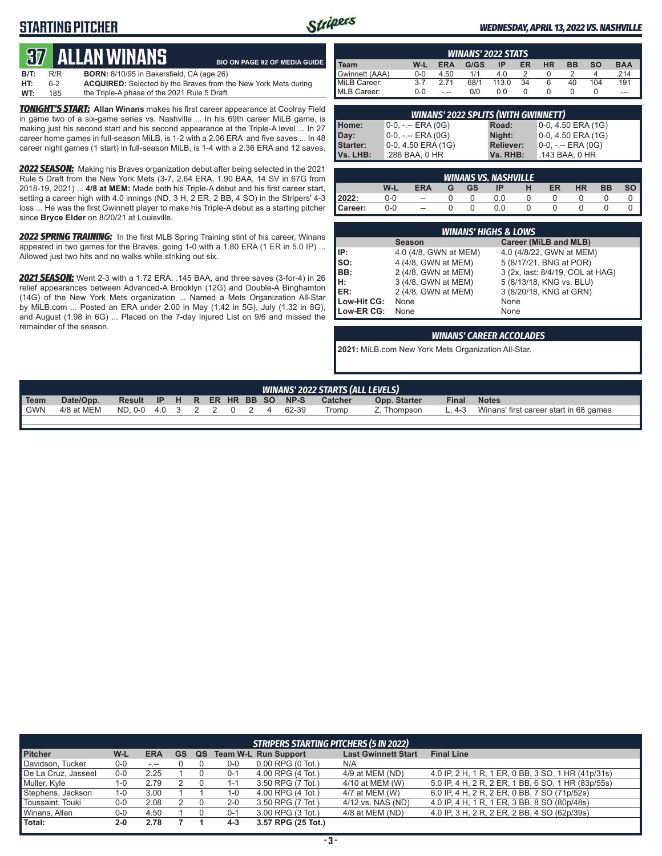# **STARTING PITCHER**



**BIO ON PAGE 92 OF MEDIA GUIDE**

#### *WEDNESDAY, APRIL 13, 2022 VS. NASHVILLE*

# **37****Allan Winans**

| ___  |         | .                                                                     |  |
|------|---------|-----------------------------------------------------------------------|--|
| B/T: | R/R     | <b>BORN:</b> 8/10/95 in Bakersfield, CA (age 26)                      |  |
| HT:  | $6 - 2$ | <b>ACQUIRED:</b> Selected by the Braves from the New York Mets during |  |
| WT:  | 185     | the Triple-A phase of the 2021 Rule 5 Draft.                          |  |

*TONIGHT'S START:* **Allan Winans** makes his first career appearance at Coolray Field in game two of a six-game series vs. Nashville ... In his 69th career MiLB game, is making just his second start and his second appearance at the Triple-A level ... In 27 career home games in full-season MiLB, is 1-2 with a 2.06 ERA and five saves ... In 48 career night games (1 start) in full-season MiLB, is 1-4 with a 2.36 ERA and 12 saves.

*2022 SEASON:* Making his Braves organization debut after being selected in the 2021 Rule 5 Draft from the New York Mets (3-7, 2.64 ERA, 1.90 BAA, 14 SV in 67G from 2018-19, 2021) ... **4/8 at MEM:** Made both his Triple-A debut and his first career start, setting a career high with 4.0 innings (ND, 3 H, 2 ER, 2 BB, 4 SO) in the Stripers' 4-3 loss ... He was the first Gwinnett player to make his Triple-A debut as a starting pitcher since **Bryce Elder** on 8/20/21 at Louisville.

*2022 SPRING TRAINING:* In the first MLB Spring Training stint of his career, Winans appeared in two games for the Braves, going 1-0 with a 1.80 ERA (1 ER in 5.0 IP) ... Allowed just two hits and no walks while striking out six.

*2021 SEASON:* Went 2-3 with a 1.72 ERA, .145 BAA, and three saves (3-for-4) in 26 relief appearances between Advanced-A Brooklyn (12G) and Double-A Binghamton (14G) of the New York Mets organization ... Named a Mets Organization All-Star by MiLB.com ... Posted an ERA under 2.00 in May (1.42 in 5G), July (1.32 in 8G), and August (1.98 in 6G) ... Placed on the 7-day Injured List on 9/6 and missed the remainder of the season.

| <b>WINANS' 2022 STATS</b> |         |      |      |       |    |           |    |           |            |
|---------------------------|---------|------|------|-------|----|-----------|----|-----------|------------|
| Team                      | W-L     | ERA  | G/GS | ΙP    | ER | <b>HR</b> | вв | <b>SO</b> | <b>BAA</b> |
| <b>Gwinnett (AAA)</b>     | $0 - 0$ | 4.50 | 1/1  | 4.0   |    |           |    | 4         | .214       |
| MiLB Career:              | $3 - 7$ | 2 71 | 68/1 | 113.0 | 34 | 6         | 40 | 104       | .191       |
| MLB Career:               | $0 - 0$ | - -- | 0/0  | 0.0   |    |           |    |           | $---$      |

| <b>WINANS' 2022 SPLITS (WITH GWINNETT)</b> |                     |                  |                       |  |  |  |  |  |  |
|--------------------------------------------|---------------------|------------------|-----------------------|--|--|--|--|--|--|
| Home:                                      | 10-0, -.-- ERA (0G) | Road:            | $0-0$ , 4.50 ERA (1G) |  |  |  |  |  |  |
| Day:                                       | 0-0, -.-- ERA (0G)  | Night:           | 0-0, 4.50 ERA (1G)    |  |  |  |  |  |  |
| Starter:                                   | 0-0, 4.50 ERA (1G)  | <b>Reliever:</b> | $0-0, - -$ ERA $(0G)$ |  |  |  |  |  |  |
| Vs. LHB:                                   | .286 BAA, 0 HR      | Vs. RHB:         | .143 BAA, 0 HR        |  |  |  |  |  |  |

|         | <b>WINANS VS. NASHVILLE</b> |            |   |           |     |   |    |           |           |    |  |  |
|---------|-----------------------------|------------|---|-----------|-----|---|----|-----------|-----------|----|--|--|
|         | W-L                         | <b>ERA</b> | G | <b>GS</b> | ΙP  | н | ER | <b>HR</b> | <b>BB</b> | SO |  |  |
| 2022:   | 0-0                         | --         |   |           | J.O |   |    |           |           |    |  |  |
| Career: | 0-0                         | --         |   |           | 0.0 |   |    |           |           |    |  |  |

|             | <b>WINANS' HIGHS &amp; LOWS</b> |                                  |  |  |  |  |  |  |  |  |
|-------------|---------------------------------|----------------------------------|--|--|--|--|--|--|--|--|
|             | <b>Season</b>                   | Career (MiLB and MLB)            |  |  |  |  |  |  |  |  |
| IP:         | 4.0 (4/8, GWN at MEM)           | 4.0 (4/8/22, GWN at MEM)         |  |  |  |  |  |  |  |  |
| $\vert$ so: | 4 (4/8, GWN at MEM)             | 5 (8/17/21, BNG at POR)          |  |  |  |  |  |  |  |  |
| (BB)        | 2 (4/8, GWN at MEM)             | 3 (2x, last: 8/4/19, COL at HAG) |  |  |  |  |  |  |  |  |
| Iн:         | 3 (4/8, GWN at MEM)             | 5 (8/13/18, KNG vs. BLU)         |  |  |  |  |  |  |  |  |
| ER:         | 2 (4/8, GWN at MEM)             | 3 (8/20/18, KNG at GRN)          |  |  |  |  |  |  |  |  |
| Low-Hit CG: | None                            | None                             |  |  |  |  |  |  |  |  |
| Low-ER CG:  | None                            | None                             |  |  |  |  |  |  |  |  |

#### *WINANS' CAREER ACCOLADES*

**2021:** MiLB.com New York Mets Organization All-Star.

|             | <b>WINANS' 2022 STARTS (ALL LEVELS)</b> |                                |  |  |  |  |  |  |       |         |              |              |                                        |
|-------------|-----------------------------------------|--------------------------------|--|--|--|--|--|--|-------|---------|--------------|--------------|----------------------------------------|
| <b>Team</b> | Date/Opp.                               | Result IP H R ER HR BB SO NP-S |  |  |  |  |  |  |       | Catcher | Opp. Starter | <b>Final</b> | <b>Notes</b>                           |
| <b>GWN</b>  | 4/8 at MEM                              | ND.0-0 4.0 3 2 2 0 2 4         |  |  |  |  |  |  | 62-39 | Tromp   | Z. Thompson  | $-4-3$       | Winans' first career start in 68 games |
|             |                                         |                                |  |  |  |  |  |  |       |         |              |              |                                        |

|                     | <b>STRIPERS STARTING PITCHERS (5 IN 2022)</b> |            |    |    |         |                               |                            |                                                    |  |  |  |
|---------------------|-----------------------------------------------|------------|----|----|---------|-------------------------------|----------------------------|----------------------------------------------------|--|--|--|
| <b>Pitcher</b>      | W-L                                           | <b>ERA</b> | GS | QS |         | <b>Team W-L Run Support</b>   | <b>Last Gwinnett Start</b> | <b>Final Line</b>                                  |  |  |  |
| Davidson, Tucker    | $0-0$                                         | المعرف     |    |    | $0-0$   | $0.00$ RPG $(0 \text{ Tot.})$ | N/A                        |                                                    |  |  |  |
| De La Cruz, Jasseel | $0-0$                                         | 2.25       |    |    | $0 - 1$ | 4.00 RPG (4 Tot.)             | 4/9 at MEM (ND)            | 4.0 IP, 2 H, 1 R, 1 ER, 0 BB, 3 SO, 1 HR (41p/31s) |  |  |  |
| Muller, Kyle        | 1-0                                           | 2.79       |    |    | $1 - 7$ | 3.50 RPG (7 Tot.)             | 4/10 at MEM (W)            | 5.0 IP, 4 H, 2 R, 2 ER, 1 BB, 6 SO, 1 HR (83p/55s) |  |  |  |
| Stephens, Jackson   | 1-0                                           | 3.00       |    |    | 1-0     | 4.00 RPG (4 Tot.)             | 4/7 at MEM (W)             | 6.0 IP, 4 H, 2 R, 2 ER, 0 BB, 7 SO (71p/52s)       |  |  |  |
| Toussaint, Touki    | 0-0                                           | 2.08       |    |    | $2 - 0$ | 3.50 RPG (7 Tot.)             | 4/12 vs. NAS (ND)          | 4.0 IP, 4 H, 1 R, 1 ER, 3 BB, 8 SO (80p/48s)       |  |  |  |
| Winans, Allan       | 0-0                                           | 4.50       |    |    | $0 - 1$ | 3.00 RPG (3 Tot.)             | 4/8 at MEM (ND)            | 4.0 IP, 3 H, 2 R, 2 ER, 2 BB, 4 SO (62p/39s)       |  |  |  |
| Total:              | $2 - 0$                                       | 2.78       |    |    | $4 - 3$ | 3.57 RPG (25 Tot.)            |                            |                                                    |  |  |  |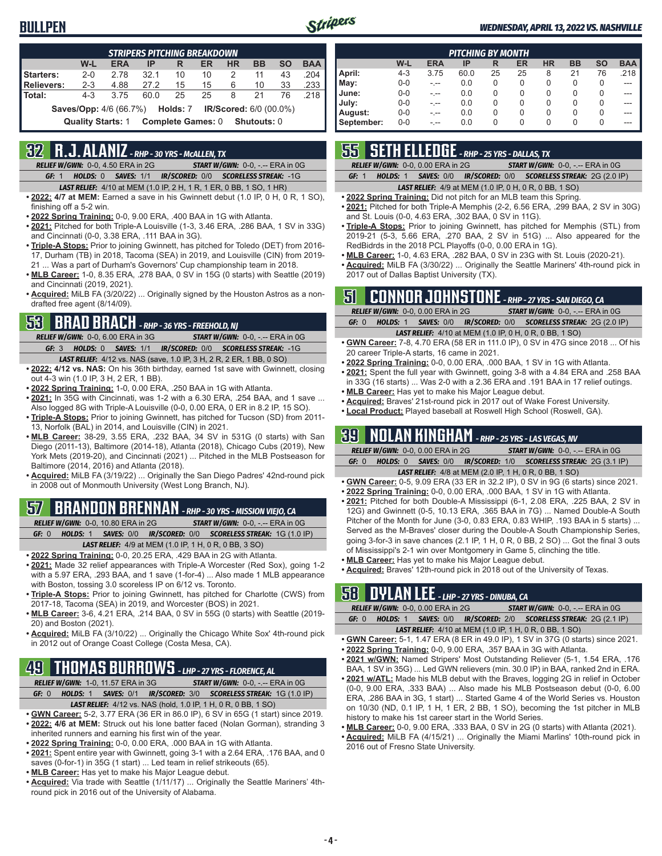### **BULLPEN**



#### *WEDNESDAY, APRIL 13, 2022 VS. NASHVILLE*

| <b>STRIPERS PITCHING BREAKDOWN</b>                                             |                          |            |      |                          |    |           |             |           |            |  |
|--------------------------------------------------------------------------------|--------------------------|------------|------|--------------------------|----|-----------|-------------|-----------|------------|--|
|                                                                                | W-L                      | <b>ERA</b> | IP   | R                        | ER | <b>HR</b> | <b>BB</b>   | <b>SO</b> | <b>BAA</b> |  |
| Starters:                                                                      | $2 - 0$                  | 278        | 321  | 10                       | 10 | 2         | 11          | 43        | .204       |  |
| <b>Relievers:</b>                                                              | $2 - 3$                  | 4.88       | 27.2 | 15                       | 15 | 6         | 10          | 33        | .233       |  |
| Total:                                                                         | $4 - 3$                  | 3 7 5      | 60.0 | 25                       | 25 | 8         | 21          | 76        | 218        |  |
| <b>Saves/Opp:</b> 4/6 (66.7%) <b>Holds:</b> 7<br><b>IR/Scored:</b> 6/0 (00.0%) |                          |            |      |                          |    |           |             |           |            |  |
|                                                                                | <b>Quality Starts: 1</b> |            |      | <b>Complete Games: 0</b> |    |           | Shutouts: 0 |           |            |  |

## **32 R.J. ALANIZ** *- RHP - 30 YRS - McALLEN, TX*

*RELIEF W/GWN:*0-0, 4.50 ERA in 2G *START W/GWN:*0-0, -.-- ERA in 0G *GF:*1 *HOLDS:*0 *SAVES:*1/1 *IR/SCORED:*0/0 *SCORELESS STREAK:*-1G

- *LAST RELIEF:*4/10 at MEM (1.0 IP, 2 H, 1 R, 1 ER, 0 BB, 1 SO, 1 HR)
- **• 2022: 4/7 at MEM:** Earned a save in his Gwinnett debut (1.0 IP, 0 H, 0 R, 1 SO), finishing off a 5-2 win.
- **• 2022 Spring Training:** 0-0, 9.00 ERA, .400 BAA in 1G with Atlanta.
- **• 2021:** Pitched for both Triple-A Louisville (1-3, 3.46 ERA, .286 BAA, 1 SV in 33G) and Cincinnati (0-0, 3.38 ERA, .111 BAA in 3G).
- **• Triple-A Stops:** Prior to joining Gwinnett, has pitched for Toledo (DET) from 2016- 17, Durham (TB) in 2018, Tacoma (SEA) in 2019, and Louisville (CIN) from 2019- 21 ... Was a part of Durham's Governors' Cup championship team in 2018.
- **• MLB Career:** 1-0, 8.35 ERA, .278 BAA, 0 SV in 15G (0 starts) with Seattle (2019) and Cincinnati (2019, 2021).
- **• Acquired:** MiLB FA (3/20/22) ... Originally signed by the Houston Astros as a nondrafted free agent (8/14/09).

### **53 BRAD BRACH** *- RHP - 36 YRS - FREEHOLD, NJ*

*RELIEF W/GWN:*0-0, 6.00 ERA in 3G *START W/GWN:*0-0, -.-- ERA in 0G *GF:*3 *HOLDS:*0 *SAVES:*1/1 *IR/SCORED:*0/0 *SCORELESS STREAK:*-1G

- *LAST RELIEF:*4/12 vs. NAS (save, 1.0 IP, 3 H, 2 R, 2 ER, 1 BB, 0 SO) **• 2022: 4/12 vs. NAS:** On his 36th birthday, earned 1st save with Gwinnett, closing
- out 4-3 win (1.0 IP, 3 H, 2 ER, 1 BB).
- **• 2022 Spring Training:** 1-0, 0.00 ERA, .250 BAA in 1G with Atlanta.
- **• 2021:** In 35G with Cincinnati, was 1-2 with a 6.30 ERA, .254 BAA, and 1 save ... Also logged 8G with Triple-A Louisville (0-0, 0.00 ERA, 0 ER in 8.2 IP, 15 SO).
- **• Triple-A Stops:** Prior to joining Gwinnett, has pitched for Tucson (SD) from 2011- 13, Norfolk (BAL) in 2014, and Louisville (CIN) in 2021.
- **• MLB Career:** 38-29, 3.55 ERA, .232 BAA, 34 SV in 531G (0 starts) with San Diego (2011-13), Baltimore (2014-18), Atlanta (2018), Chicago Cubs (2019), New York Mets (2019-20), and Cincinnati (2021) ... Pitched in the MLB Postseason for Baltimore (2014, 2016) and Atlanta (2018).
- **• Acquired:** MiLB FA (3/19/22) ... Originally the San Diego Padres' 42nd-round pick in 2008 out of Monmouth University (West Long Branch, NJ).

# **57 BRANDON BRENNAN** *- RHP - 30 YRS - MISSION VIEJO, CA*

| RELIEF W/GWN: 0-0, 10.80 ERA in 2G | <b>START W/GWN: 0-0, -.-- ERA in 0G/</b>                                |
|------------------------------------|-------------------------------------------------------------------------|
| GF: 0                              | <b>HOLDS: 1 SAVES: 0/0 IR/SCORED: 0/0 SCORELESS STREAK: 1G (1.0 IP)</b> |
|                                    | <b>LAST RELIEF:</b> 4/9 at MEM (1.0 IP, 1 H, 0 R, 0 BB, 3 SO)           |

- **• 2022 Spring Training:** 0-0, 20.25 ERA, .429 BAA in 2G with Atlanta.
- **• 2021:** Made 32 relief appearances with Triple-A Worcester (Red Sox), going 1-2 with a 5.97 ERA, .293 BAA, and 1 save (1-for-4) ... Also made 1 MLB appearance with Boston, tossing 3.0 scoreless IP on 6/12 vs. Toronto.
- **• Triple-A Stops:** Prior to joining Gwinnett, has pitched for Charlotte (CWS) from 2017-18, Tacoma (SEA) in 2019, and Worcester (BOS) in 2021.
- **• MLB Career:** 3-6, 4.21 ERA, .214 BAA, 0 SV in 55G (0 starts) with Seattle (2019- 20) and Boston (2021).
- **• Acquired:** MiLB FA (3/10/22) ... Originally the Chicago White Sox' 4th-round pick in 2012 out of Orange Coast College (Costa Mesa, CA).

# **49 THOMAS BURROWS** *- LHP - 27 YRS - FLORENCE, AL*

*RELIEF W/GWN:*1-0, 11.57 ERA in 3G *START W/GWN:*0-0, -.-- ERA in 0G *GF:*0 *HOLDS:*1 *SAVES:*0/1 *IR/SCORED:*3/0 *SCORELESS STREAK:*1G (1.0 IP) *LAST RELIEF:*4/12 vs. NAS (hold, 1.0 IP, 1 H, 0 R, 0 BB, 1 SO)

- **• GWN Career:** 5-2, 3.77 ERA (36 ER in 86.0 IP), 6 SV in 65G (1 start) since 2019.
- **• 2022: 4/6 at MEM:** Struck out his lone batter faced (Nolan Gorman), stranding 3 inherited runners and earning his first win of the year. **• 2022 Spring Training:** 0-0, 0.00 ERA, .000 BAA in 1G with Atlanta.
- **• 2021:** Spent entire year with Gwinnett, going 3-1 with a 2.64 ERA, .176 BAA, and 0
- saves (0-for-1) in 35G (1 start) ... Led team in relief strikeouts (65). **• MLB Career:** Has yet to make his Major League debut.
- 
- **• Acquired:** Via trade with Seattle (1/11/17) ... Originally the Seattle Mariners' 4thround pick in 2016 out of the University of Alabama.

|            | <b>PITCHING BY MONTH</b> |            |      |          |    |           |           |           |            |  |  |
|------------|--------------------------|------------|------|----------|----|-----------|-----------|-----------|------------|--|--|
|            | W-L                      | <b>ERA</b> | IP   | R        | ER | <b>HR</b> | <b>BB</b> | <b>SO</b> | <b>BAA</b> |  |  |
| April:     | $4 - 3$                  | 3.75       | 60.0 | 25       | 25 | 8         | 21        | 76        | .218       |  |  |
| May:       | $0 - 0$                  | -.--       | 0.0  | 0        | 0  | 0         | 0         | 0         |            |  |  |
| June:      | $0 - 0$                  | -.--       | 0.0  | 0        | 0  | 0         | 0         | 0         |            |  |  |
| July:      | $0 - 0$                  | -.--       | 0.0  | 0        | 0  | 0         | 0         | 0         |            |  |  |
| August:    | $0 - 0$                  | -.--       | 0.0  | $\Omega$ | 0  | 0         | 0         | 0         |            |  |  |
| September: | $0 - 0$                  | - --       | 0.0  | 0        | 0  | 0         | 0         | 0         |            |  |  |

### **55 SETH ELLEDGE** *- RHP - 25 YRS - DALLAS, TX*

*RELIEF W/GWN:*0-0, 0.00 ERA in 2G *START W/GWN:*0-0, -.-- ERA in 0G

*GF:*1 *HOLDS:*1 *SAVES:*0/0 *IR/SCORED:*0/0 *SCORELESS STREAK:*2G (2.0 IP)

#### *LAST RELIEF:*4/9 at MEM (1.0 IP, 0 H, 0 R, 0 BB, 1 SO)

- **• 2022 Spring Training:** Did not pitch for an MLB team this Spring.
- **• 2021:** Pitched for both Triple-A Memphis (2-2, 6.56 ERA, .299 BAA, 2 SV in 30G) and St. Louis (0-0, 4.63 ERA, .302 BAA, 0 SV in 11G).
- **• Triple-A Stops:** Prior to joining Gwinnett, has pitched for Memphis (STL) from 2019-21 (5-3, 5.66 ERA, .270 BAA, 2 SV in 51G) ... Also appeared for the RedBidrds in the 2018 PCL Playoffs (0-0, 0.00 ERA in 1G).
- **• MLB Career:** 1-0, 4.63 ERA, .282 BAA, 0 SV in 23G with St. Louis (2020-21).
- **• Acquired:** MiLB FA (3/30/22) ... Originally the Seattle Mariners' 4th-round pick in 2017 out of Dallas Baptist University (TX).

## **51 CONNOR JOHNSTONE** *- RHP - 27 YRS - SAN DIEGO, CA*

|       | <b>RELIEF W/GWN: 0-0, 0.00 ERA in 2G</b> | <b>START W/GWN: <math>0-0</math>, -.-- ERA in <math>0G</math></b> |
|-------|------------------------------------------|-------------------------------------------------------------------|
| GF: 0 |                                          | HOLDS: 1 SAVES: 0/0 IR/SCORED: 0/0 SCORELESS STREAK: 2G (2.0 IP)  |
|       |                                          | <b>LAST RELIEF:</b> 4/10 at MEM (1.0 IP, 0 H, 0 R, 0 BB, 1 SO)    |

- **• GWN Career:** 7-8, 4.70 ERA (58 ER in 111.0 IP), 0 SV in 47G since 2018 ... Of his 20 career Triple-A starts, 16 came in 2021.
- **• 2022 Spring Training:** 0-0, 0.00 ERA, .000 BAA, 1 SV in 1G with Atlanta.
- **• 2021:** Spent the full year with Gwinnett, going 3-8 with a 4.84 ERA and .258 BAA in 33G (16 starts) ... Was 2-0 with a 2.36 ERA and .191 BAA in 17 relief outings.
- **• MLB Career:** Has yet to make his Major League debut.
- **• Acquired:** Braves' 21st-round pick in 2017 out of Wake Forest University.
- **• Local Product:** Played baseball at Roswell High School (Roswell, GA).

### **39 NOLAN KINGHAM** *- RHP - 25 YRS - LAS VEGAS, NV*

|  | <b>RELIEF W/GWN: 0-0.0.00 ERA in 2G</b> |  | <b>START W/GWN: <math>0-0</math>.</b> -.-- ERA in $0G$                  |
|--|-----------------------------------------|--|-------------------------------------------------------------------------|
|  |                                         |  | <b>HOLDS: 0 SAVES: 0/0 IR/SCORED: 1/0 SCORELESS STREAK: 2G (3.1 IP)</b> |
|  |                                         |  | $1407 B1157 400 111511 (0015 411 05 055 4 001)$                         |

- *LAST RELIEF:*4/8 at MEM (2.0 IP, 1 H, 0 R, 0 BB, 1 SO) **• GWN Career:** 0-5, 9.09 ERA (33 ER in 32.2 IP), 0 SV in 9G (6 starts) since 2021.
- **• 2022 Spring Training:** 0-0, 0.00 ERA, .000 BAA, 1 SV in 1G with Atlanta. **• 2021:** Pitched for both Double-A Mississippi (6-1, 2.08 ERA, .225 BAA, 2 SV in
- 12G) and Gwinnett (0-5, 10.13 ERA, .365 BAA in 7G) ... Named Double-A South Pitcher of the Month for June (3-0, 0.83 ERA, 0.83 WHIP, .193 BAA in 5 starts) ... Served as the M-Braves' closer during the Double-A South Championship Series, going 3-for-3 in save chances (2.1 IP, 1 H, 0 R, 0 BB, 2 SO) ... Got the final 3 outs of Mississippi's 2-1 win over Montgomery in Game 5, clinching the title.
- **• MLB Career:** Has yet to make his Major League debut.
- **• Acquired:** Braves' 12th-round pick in 2018 out of the University of Texas.

### **58 DYLAN LEE** *- LHP - 27 YRS - DINUBA, CA*

|       | <b>RELIEF W/GWN: 0-0, 0.00 ERA in 2G</b> | <b>START W/GWN: 0-0, -.-- ERA in 0G</b>                          |
|-------|------------------------------------------|------------------------------------------------------------------|
| GF: 0 |                                          | HOLDS: 1 SAVES: 0/0 IR/SCORED: 2/0 SCORELESS STREAK: 2G (2.1 IP) |
|       |                                          | <b>LAST RELIEF:</b> 4/10 at MEM (1.0 IP, 1 H, 0 R, 0 BB, 1 SO)   |

- **• GWN Career:** 5-1, 1.47 ERA (8 ER in 49.0 IP), 1 SV in 37G (0 starts) since 2021.
- **• 2022 Spring Training:** 0-0, 9.00 ERA, .357 BAA in 3G with Atlanta.
- **• 2021 w/GWN:** Named Stripers' Most Outstanding Reliever (5-1, 1.54 ERA, .176 BAA, 1 SV in 35G) ... Led GWN relievers (min. 30.0 IP) in BAA, ranked 2nd in ERA.
- **• 2021 w/ATL:** Made his MLB debut with the Braves, logging 2G in relief in October (0-0, 9.00 ERA, .333 BAA) ... Also made his MLB Postseason debut (0-0, 6.00 ERA, .286 BAA in 3G, 1 start) ... Started Game 4 of the World Series vs. Houston on 10/30 (ND, 0.1 IP, 1 H, 1 ER, 2 BB, 1 SO), becoming the 1st pitcher in MLB history to make his 1st career start in the World Series.
- **• MLB Career:** 0-0, 9.00 ERA, .333 BAA, 0 SV in 2G (0 starts) with Atlanta (2021).
- **• Acquired:** MiLB FA (4/15/21) ... Originally the Miami Marlins' 10th-round pick in 2016 out of Fresno State University.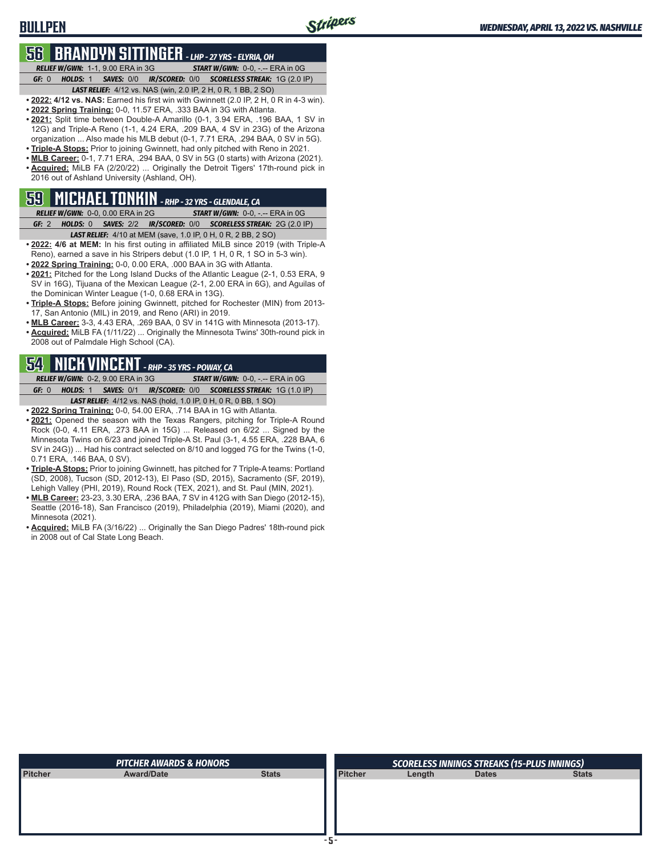### **BULLPEN**

# **56 BRANDYN SITTINGER** *- LHP - 27 YRS - ELYRIA, OH*

*RELIEF W/GWN:*1-1, 9.00 ERA in 3G *START W/GWN:*0-0, -.-- ERA in 0G *GF:*0 *HOLDS:*1 *SAVES:*0/0 *IR/SCORED:*0/0 *SCORELESS STREAK:*1G (2.0 IP)

*LAST RELIEF:*4/12 vs. NAS (win, 2.0 IP, 2 H, 0 R, 1 BB, 2 SO) **• 2022: 4/12 vs. NAS:** Earned his first win with Gwinnett (2.0 IP, 2 H, 0 R in 4-3 win).

- **• 2022 Spring Training:** 0-0, 11.57 ERA, .333 BAA in 3G with Atlanta.
- **• 2021:** Split time between Double-A Amarillo (0-1, 3.94 ERA, .196 BAA, 1 SV in 12G) and Triple-A Reno (1-1, 4.24 ERA, .209 BAA, 4 SV in 23G) of the Arizona organization ... Also made his MLB debut (0-1, 7.71 ERA, .294 BAA, 0 SV in 5G).
- **• Triple-A Stops:** Prior to joining Gwinnett, had only pitched with Reno in 2021.
- **• MLB Career:** 0-1, 7.71 ERA, .294 BAA, 0 SV in 5G (0 starts) with Arizona (2021). **• Acquired:** MiLB FA (2/20/22) ... Originally the Detroit Tigers' 17th-round pick in 2016 out of Ashland University (Ashland, OH).

# **59 MICHAEL TONKIN** *- RHP - 32 YRS - GLENDALE, CA*

*RELIEF W/GWN:*0-0, 0.00 ERA in 2G *START W/GWN:*0-0, -.-- ERA in 0G *GF:*2 *HOLDS:*0 *SAVES:*2/2 *IR/SCORED:*0/0 *SCORELESS STREAK:*2G (2.0 IP)

- *LAST RELIEF:*4/10 at MEM (save, 1.0 IP, 0 H, 0 R, 2 BB, 2 SO) **• 2022: 4/6 at MEM:** In his first outing in affiliated MiLB since 2019 (with Triple-A Reno), earned a save in his Stripers debut (1.0 IP, 1 H, 0 R, 1 SO in 5-3 win).
- **• 2022 Spring Training:** 0-0, 0.00 ERA, .000 BAA in 3G with Atlanta. **• 2021:** Pitched for the Long Island Ducks of the Atlantic League (2-1, 0.53 ERA, 9 SV in 16G), Tijuana of the Mexican League (2-1, 2.00 ERA in 6G), and Aguilas of
- the Dominican Winter League (1-0, 0.68 ERA in 13G). **• Triple-A Stops:** Before joining Gwinnett, pitched for Rochester (MIN) from 2013-
- 17, San Antonio (MIL) in 2019, and Reno (ARI) in 2019. **• MLB Career:** 3-3, 4.43 ERA, .269 BAA, 0 SV in 141G with Minnesota (2013-17).
- **• Acquired:** MiLB FA (1/11/22) ... Originally the Minnesota Twins' 30th-round pick in 2008 out of Palmdale High School (CA).

### **54 NICK VINCENT** *- RHP - 35 YRS - POWAY, CA*

*RELIEF W/GWN:*0-2, 9.00 ERA in 3G *START W/GWN:*0-0, -.-- ERA in 0G *GF:*0 *HOLDS:*1 *SAVES:*0/1 *IR/SCORED:*0/0 *SCORELESS STREAK:*1G (1.0 IP) *LAST RELIEF:*4/12 vs. NAS (hold, 1.0 IP, 0 H, 0 R, 0 BB, 1 SO)

- **• 2022 Spring Training:** 0-0, 54.00 ERA, .714 BAA in 1G with Atlanta.
- **• 2021:** Opened the season with the Texas Rangers, pitching for Triple-A Round Rock (0-0, 4.11 ERA, .273 BAA in 15G) ... Released on 6/22 ... Signed by the Minnesota Twins on 6/23 and joined Triple-A St. Paul (3-1, 4.55 ERA, .228 BAA, 6 SV in 24G)) ... Had his contract selected on 8/10 and logged 7G for the Twins (1-0, 0.71 ERA, .146 BAA, 0 SV).
- **• Triple-A Stops:** Prior to joining Gwinnett, has pitched for 7 Triple-A teams: Portland (SD, 2008), Tucson (SD, 2012-13), El Paso (SD, 2015), Sacramento (SF, 2019), Lehigh Valley (PHI, 2019), Round Rock (TEX, 2021), and St. Paul (MIN, 2021).
- **• MLB Career:** 23-23, 3.30 ERA, .236 BAA, 7 SV in 412G with San Diego (2012-15), Seattle (2016-18), San Francisco (2019), Philadelphia (2019), Miami (2020), and Minnesota (2021).
- **• Acquired:** MiLB FA (3/16/22) ... Originally the San Diego Padres' 18th-round pick in 2008 out of Cal State Long Beach.

|         | <b>PITCHER AWARDS &amp; HONORS</b> |              |                |        | <b>SCORELESS INNINGS STREAKS (15-PLUS INNINGS)</b> |              |
|---------|------------------------------------|--------------|----------------|--------|----------------------------------------------------|--------------|
| Pitcher | <b>Award/Date</b>                  | <b>Stats</b> | <b>Pitcher</b> | Length | <b>Dates</b>                                       | <b>Stats</b> |
|         |                                    |              |                |        |                                                    |              |
|         |                                    |              |                |        |                                                    |              |
|         |                                    |              |                |        |                                                    |              |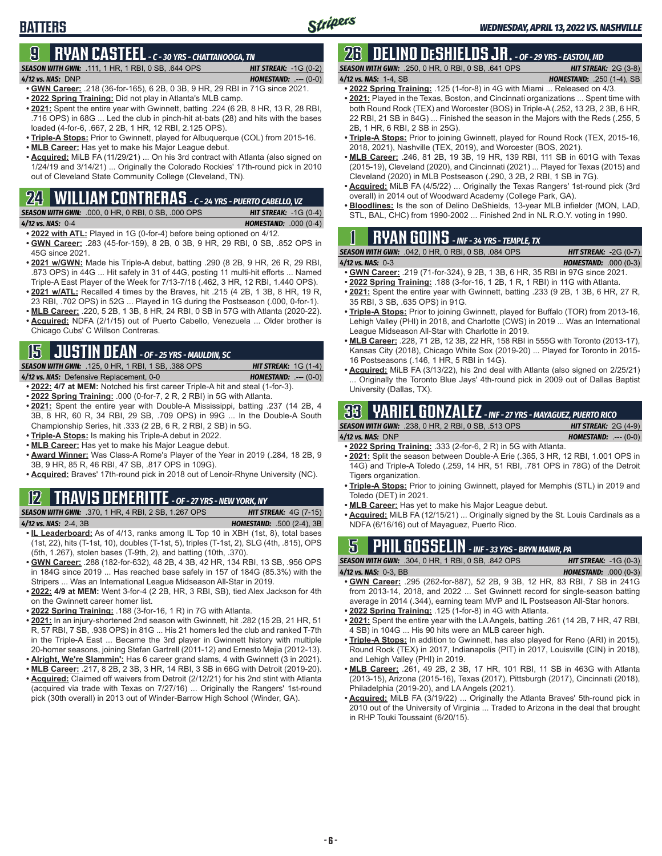# **9 RYAN CASTEEL** *- C - 30 YRS - CHATTANOOGA, TN*

*SEASON WITH GWN:*.111, 1 HR, 1 RBI, 0 SB, .644 OPS *HIT STREAK:* -1G (0-2)

**BATTERS**

*4/12 vs. NAS:*DNP *HOMESTAND:* .--- (0-0)

- **• GWN Career:** .218 (36-for-165), 6 2B, 0 3B, 9 HR, 29 RBI in 71G since 2021. **• 2022 Spring Training:** Did not play in Atlanta's MLB camp.
- **• 2021:** Spent the entire year with Gwinnett, batting .224 (6 2B, 8 HR, 13 R, 28 RBI, .716 OPS) in 68G ... Led the club in pinch-hit at-bats (28) and hits with the bases loaded (4-for-6, .667, 2 2B, 1 HR, 12 RBI, 2.125 OPS).
- **• Triple-A Stops:** Prior to Gwinnett, played for Albuquerque (COL) from 2015-16.
- **• MLB Career:** Has yet to make his Major League debut.
- **• Acquired:** MiLB FA (11/29/21) ... On his 3rd contract with Atlanta (also signed on 1/24/19 and 3/14/21) ... Originally the Colorado Rockies' 17th-round pick in 2010 out of Cleveland State Community College (Cleveland, TN).

### **24 WILLIAM CONTRERAS** *- C - 24 YRS - PUERTO CABELLO, VZ*

|                   | <b>SEASON WITH GWN:</b> .000, 0 HR, 0 RBI, 0 SB, .000 OPS | <b>HIT STREAK:</b> $-1G(0-4)$ |  |
|-------------------|-----------------------------------------------------------|-------------------------------|--|
| 4/12 vs. NAS: 0-4 |                                                           | <b>HOMESTAND: .000 (0-4)</b>  |  |

- **• 2022 with ATL:** Played in 1G (0-for-4) before being optioned on 4/12. **• GWN Career:** .283 (45-for-159), 8 2B, 0 3B, 9 HR, 29 RBI, 0 SB, .852 OPS in
- 45G since 2021.
- **• 2021 w/GWN:** Made his Triple-A debut, batting .290 (8 2B, 9 HR, 26 R, 29 RBI, .873 OPS) in 44G ... Hit safely in 31 of 44G, posting 11 multi-hit efforts ... Named Triple-A East Player of the Week for 7/13-7/18 (.462, 3 HR, 12 RBI, 1.440 OPS).
- **• 2021 w/ATL:** Recalled 4 times by the Braves, hit .215 (4 2B, 1 3B, 8 HR, 19 R, 23 RBI, .702 OPS) in 52G ... Played in 1G during the Postseason (.000, 0-for-1).
- **• MLB Career:** .220, 5 2B, 1 3B, 8 HR, 24 RBI, 0 SB in 57G with Atlanta (2020-22).
- **• Acquired:** NDFA (2/1/15) out of Puerto Cabello, Venezuela ... Older brother is Chicago Cubs' C Willson Contreras.

# **15 JUSTIN DEAN** *- OF - 25 YRS - MAULDIN, SC*

*SEASON WITH GWN:*.125, 0 HR, 1 RBI, 1 SB, .388 OPS *HIT STREAK:* 1G (1-4)

*4/12 vs. NAS:*Defensive Replacement, 0-0 *HOMESTAND:* .--- (0-0)

- **• 2022: 4/7 at MEM:** Notched his first career Triple-A hit and steal (1-for-3).
- **• 2022 Spring Training:** .000 (0-for-7, 2 R, 2 RBI) in 5G with Atlanta.
- **• 2021:** Spent the entire year with Double-A Mississippi, batting .237 (14 2B, 4 3B, 8 HR, 60 R, 34 RBI, 29 SB, .709 OPS) in 99G ... In the Double-A South Championship Series, hit .333 (2 2B, 6 R, 2 RBI, 2 SB) in 5G.
- **• Triple-A Stops:** Is making his Triple-A debut in 2022.
- **• MLB Career:** Has yet to make his Major League debut.
- **• Award Winner:** Was Class-A Rome's Player of the Year in 2019 (.284, 18 2B, 9 3B, 9 HR, 85 R, 46 RBI, 47 SB, .817 OPS in 109G).
- **• Acquired:** Braves' 17th-round pick in 2018 out of Lenoir-Rhyne University (NC).

# **12 TRAVIS DEMERITTE** *- OF - 27 YRS - NEW YORK, NY*

### *SEASON WITH GWN:*.370, 1 HR, 4 RBI, 2 SB, 1.267 OPS *HIT STREAK:* 4G (7-15)

- *4/12 vs. NAS:*2-4, 3B *HOMESTAND:* .500 (2-4), 3B **• IL Leaderboard:** As of 4/13, ranks among IL Top 10 in XBH (1st, 8), total bases
- (1st, 22), hits (T-1st, 10), doubles (T-1st, 5), triples (T-1st, 2), SLG (4th, .815), OPS (5th, 1.267), stolen bases (T-9th, 2), and batting (10th, .370).
- **• GWN Career:** .288 (182-for-632), 48 2B, 4 3B, 42 HR, 134 RBI, 13 SB, .956 OPS in 184G since 2019 ... Has reached base safely in 157 of 184G (85.3%) with the Stripers ... Was an International League Midseason All-Star in 2019.
- **• 2022: 4/9 at MEM:** Went 3-for-4 (2 2B, HR, 3 RBI, SB), tied Alex Jackson for 4th on the Gwinnett career homer list.
- **• 2022 Spring Training:** .188 (3-for-16, 1 R) in 7G with Atlanta.
- **• 2021:** In an injury-shortened 2nd season with Gwinnett, hit .282 (15 2B, 21 HR, 51 R, 57 RBI, 7 SB, .938 OPS) in 81G ... His 21 homers led the club and ranked T-7th in the Triple-A East ... Became the 3rd player in Gwinnett history with multiple 20-homer seasons, joining Stefan Gartrell (2011-12) and Ernesto Mejia (2012-13).
- **• Alright, We're Slammin':** Has 6 career grand slams, 4 with Gwinnett (3 in 2021).
- **• MLB Career:** .217, 8 2B, 2 3B, 3 HR, 14 RBI, 3 SB in 66G with Detroit (2019-20). **• Acquired:** Claimed off waivers from Detroit (2/12/21) for his 2nd stint with Atlanta (acquired via trade with Texas on 7/27/16) ... Originally the Rangers' 1st-round pick (30th overall) in 2013 out of Winder-Barrow High School (Winder, GA).

# **26 DELINO DESHIELDS JR.** *- OF - 29 YRS - EASTON, MD*

*SEASON WITH GWN:*.250, 0 HR, 0 RBI, 0 SB, .641 OPS *HIT STREAK:* 2G (3-8) *4/12 vs. NAS:*1-4, SB *HOMESTAND:* .250 (1-4), SB

- 
- **• 2022 Spring Training:** .125 (1-for-8) in 4G with Miami ... Released on 4/3. **• 2021:** Played in the Texas, Boston, and Cincinnati organizations ... Spent time with both Round Rock (TEX) and Worcester (BOS) in Triple-A (.252, 13 2B, 2 3B, 6 HR, 22 RBI, 21 SB in 84G) ... Finished the season in the Majors with the Reds (.255, 5 2B, 1 HR, 6 RBI, 2 SB in 25G).
- **• Triple-A Stops:** Prior to joining Gwinnett, played for Round Rock (TEX, 2015-16, 2018, 2021), Nashville (TEX, 2019), and Worcester (BOS, 2021).
- **• MLB Career:** .246, 81 2B, 19 3B, 19 HR, 139 RBI, 111 SB in 601G with Texas (2015-19), Cleveland (2020), and Cincinnati (2021) ... Played for Texas (2015) and Cleveland (2020) in MLB Postseason (.290, 3 2B, 2 RBI, 1 SB in 7G).
- **• Acquired:** MiLB FA (4/5/22) ... Originally the Texas Rangers' 1st-round pick (3rd overall) in 2014 out of Woodward Academy (College Park, GA).
- **• Bloodlines:** Is the son of Delino DeShields, 13-year MLB infielder (MON, LAD, STL, BAL, CHC) from 1990-2002 ... Finished 2nd in NL R.O.Y. voting in 1990.

# **1 RYAN GOINS** *- INF - 34 YRS - TEMPLE, TX*

*SEASON WITH GWN:*.042, 0 HR, 0 RBI, 0 SB, .084 OPS *HIT STREAK:* -2G (0-7) *4/12 vs. NAS:*0-3 *HOMESTAND:* .000 (0-3)

- **• GWN Career:** .219 (71-for-324), 9 2B, 1 3B, 6 HR, 35 RBI in 97G since 2021.
- **• 2022 Spring Training:** .188 (3-for-16, 1 2B, 1 R, 1 RBI) in 11G with Atlanta. **• 2021:** Spent the entire year with Gwinnett, batting .233 (9 2B, 1 3B, 6 HR, 27 R,
- 35 RBI, 3 SB, .635 OPS) in 91G. **• Triple-A Stops:** Prior to joining Gwinnett, played for Buffalo (TOR) from 2013-16,
- Lehigh Valley (PHI) in 2018, and Charlotte (CWS) in 2019 ... Was an International League Midseason All-Star with Charlotte in 2019.
- **• MLB Career:** .228, 71 2B, 12 3B, 22 HR, 158 RBI in 555G with Toronto (2013-17), Kansas City (2018), Chicago White Sox (2019-20) ... Played for Toronto in 2015- 16 Postseasons (.146, 1 HR, 5 RBI in 14G).
- **• Acquired:** MiLB FA (3/13/22), his 2nd deal with Atlanta (also signed on 2/25/21) Originally the Toronto Blue Jays' 4th-round pick in 2009 out of Dallas Baptist University (Dallas, TX).

# **33 YARIEL GONZALEZ** *- INF - 27 YRS - MAYAGUEZ, PUERTO RICO*

*SEASON WITH GWN:*.238, 0 HR, 2 RBI, 0 SB, .513 OPS *HIT STREAK:* 2G (4-9) *4/12 vs. NAS:*DNP *HOMESTAND:* .--- (0-0)

- **• 2022 Spring Training:** .333 (2-for-6, 2 R) in 5G with Atlanta.
- **• 2021:** Split the season between Double-A Erie (.365, 3 HR, 12 RBI, 1.001 OPS in 14G) and Triple-A Toledo (.259, 14 HR, 51 RBI, .781 OPS in 78G) of the Detroit Tigers organization.
- **• Triple-A Stops:** Prior to joining Gwinnett, played for Memphis (STL) in 2019 and Toledo (DET) in 2021.
- **• MLB Career:** Has yet to make his Major League debut.
- **• Acquired:** MiLB FA (12/15/21) ... Originally signed by the St. Louis Cardinals as a NDFA (6/16/16) out of Mayaguez, Puerto Rico.

# **5 PHIL GOSSELIN** *- INF - 33 YRS - BRYN MAWR, PA*

*SEASON WITH GWN:*.304, 0 HR, 1 RBI, 0 SB, .842 OPS *HIT STREAK:* -1G (0-3) *4/12 vs. NAS:*0-3, BB *HOMESTAND:* .000 (0-3)

- **• GWN Career:** .295 (262-for-887), 52 2B, 9 3B, 12 HR, 83 RBI, 7 SB in 241G from 2013-14, 2018, and 2022 ... Set Gwinnett record for single-season batting average in 2014 (.344), earning team MVP and IL Postseason All-Star honors.
- **• 2022 Spring Training:** .125 (1-for-8) in 4G with Atlanta.
- **• 2021:** Spent the entire year with the LA Angels, batting .261 (14 2B, 7 HR, 47 RBI, 4 SB) in 104G ... His 90 hits were an MLB career high.
- **• Triple-A Stops:** In addition to Gwinnett, has also played for Reno (ARI) in 2015), Round Rock (TEX) in 2017, Indianapolis (PIT) in 2017, Louisville (CIN) in 2018), and Lehigh Valley (PHI) in 2019.
- **• MLB Career:** .261, 49 2B, 2 3B, 17 HR, 101 RBI, 11 SB in 463G with Atlanta (2013-15), Arizona (2015-16), Texas (2017), Pittsburgh (2017), Cincinnati (2018), Philadelphia (2019-20), and LA Angels (2021).
- **• Acquired:** MiLB FA (3/19/22) ... Originally the Atlanta Braves' 5th-round pick in 2010 out of the University of Virginia ... Traded to Arizona in the deal that brought in RHP Touki Toussaint (6/20/15).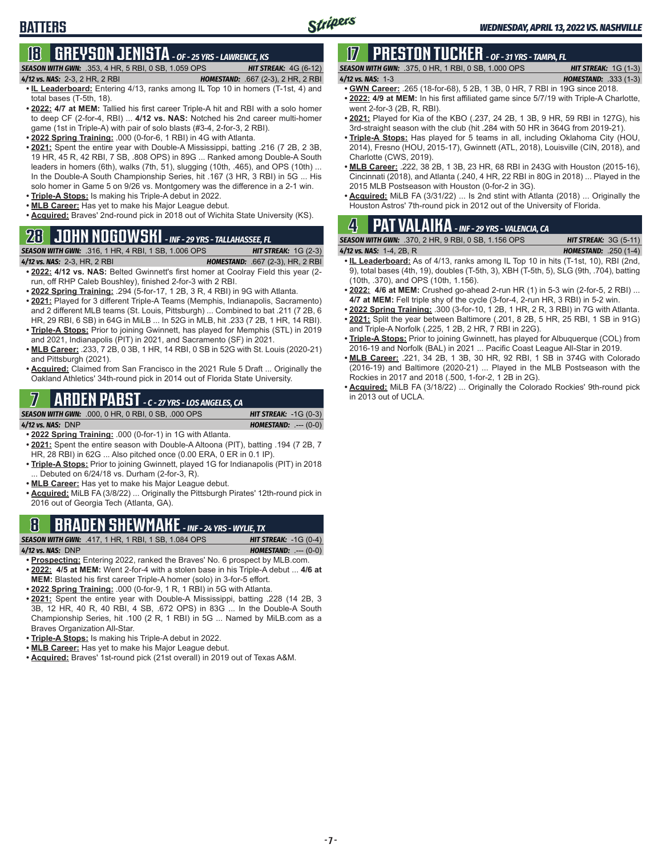# **BATTERS**

# **18 GREYSON JENISTA** *- OF - 25 YRS - LAWRENCE, KS*

*SEASON WITH GWN:*.353, 4 HR, 5 RBI, 0 SB, 1.059 OPS *HIT STREAK:* 4G (6-12)

- *4/12 vs. NAS:*2-3, 2 HR, 2 RBI *HOMESTAND:* .667 (2-3), 2 HR, 2 RBI
- **• IL Leaderboard:** Entering 4/13, ranks among IL Top 10 in homers (T-1st, 4) and total bases (T-5th, 18).
- **• 2022: 4/7 at MEM:** Tallied his first career Triple-A hit and RBI with a solo homer to deep CF (2-for-4, RBI) ... **4/12 vs. NAS:** Notched his 2nd career multi-homer game (1st in Triple-A) with pair of solo blasts (#3-4, 2-for-3, 2 RBI).
- **• 2022 Spring Training:** .000 (0-for-6, 1 RBI) in 4G with Atlanta.
- **• 2021:** Spent the entire year with Double-A Mississippi, batting .216 (7 2B, 2 3B, 19 HR, 45 R, 42 RBI, 7 SB, .808 OPS) in 89G ... Ranked among Double-A South leaders in homers (6th), walks (7th, 51), slugging (10th, .465), and OPS (10th) ... In the Double-A South Championship Series, hit .167 (3 HR, 3 RBI) in 5G ... His solo homer in Game 5 on 9/26 vs. Montgomery was the difference in a 2-1 win.
- **• Triple-A Stops:** Is making his Triple-A debut in 2022.
- **• MLB Career:** Has yet to make his Major League debut.
- **• Acquired:** Braves' 2nd-round pick in 2018 out of Wichita State University (KS).

# **28 JOHN NOGOWSKI** *- INF - 29 YRS - TALLAHASSEE, FL*

#### *SEASON WITH GWN:*.316, 1 HR, 4 RBI, 1 SB, 1.006 OPS *HIT STREAK:* 1G (2-3)

- *4/12 vs. NAS:*2-3, HR, 2 RBI *HOMESTAND:* .667 (2-3), HR, 2 RBI **• 2022: 4/12 vs. NAS:** Belted Gwinnett's first homer at Coolray Field this year (2 run, off RHP Caleb Boushley), finished 2-for-3 with 2 RBI.
- **• 2022 Spring Training:** .294 (5-for-17, 1 2B, 3 R, 4 RBI) in 9G with Atlanta.
- **• 2021:** Played for 3 different Triple-A Teams (Memphis, Indianapolis, Sacramento) and 2 different MLB teams (St. Louis, Pittsburgh) ... Combined to bat .211 (7 2B, 6 HR, 29 RBI, 6 SB) in 64G in MiLB ... In 52G in MLB, hit .233 (7 2B, 1 HR, 14 RBI).
- **• Triple-A Stops:** Prior to joining Gwinnett, has played for Memphis (STL) in 2019 and 2021, Indianapolis (PIT) in 2021, and Sacramento (SF) in 2021.
- **• MLB Career:** .233, 7 2B, 0 3B, 1 HR, 14 RBI, 0 SB in 52G with St. Louis (2020-21) and Pittsburgh (2021).
- **• Acquired:** Claimed from San Francisco in the 2021 Rule 5 Draft ... Originally the Oakland Athletics' 34th-round pick in 2014 out of Florida State University.

# **7 ARDEN PABST** *- C - 27 YRS - LOS ANGELES, CA*

*SEASON WITH GWN:*.000, 0 HR, 0 RBI, 0 SB, .000 OPS *HIT STREAK:* -1G (0-3)

*4/12 vs. NAS:*DNP *HOMESTAND:* .--- (0-0)

- **• 2022 Spring Training:** .000 (0-for-1) in 1G with Atlanta. **• 2021:** Spent the entire season with Double-A Altoona (PIT), batting .194 (7 2B, 7 HR, 28 RBI) in 62G ... Also pitched once (0.00 ERA, 0 ER in 0.1 IP).
- **• Triple-A Stops:** Prior to joining Gwinnett, played 1G for Indianapolis (PIT) in 2018 Debuted on 6/24/18 vs. Durham (2-for-3, R).
- **• MLB Career:** Has yet to make his Major League debut.
- **• Acquired:** MiLB FA (3/8/22) ... Originally the Pittsburgh Pirates' 12th-round pick in 2016 out of Georgia Tech (Atlanta, GA).

# **8 BRADEN SHEWMAKE** *- INF - 24 YRS - WYLIE, TX*

*SEASON WITH GWN:*.417, 1 HR, 1 RBI, 1 SB, 1.084 OPS *HIT STREAK:* -1G (0-4) *4/12 vs. NAS:*DNP *HOMESTAND:* .--- (0-0)

- **• Prospecting:** Entering 2022, ranked the Braves' No. 6 prospect by MLB.com.
- **• 2022: 4/5 at MEM:** Went 2-for-4 with a stolen base in his Triple-A debut ... **4/6 at MEM:** Blasted his first career Triple-A homer (solo) in 3-for-5 effort.
- **• 2022 Spring Training:** .000 (0-for-9, 1 R, 1 RBI) in 5G with Atlanta.
- **• 2021:** Spent the entire year with Double-A Mississippi, batting .228 (14 2B, 3 3B, 12 HR, 40 R, 40 RBI, 4 SB, .672 OPS) in 83G ... In the Double-A South Championship Series, hit .100 (2 R, 1 RBI) in 5G ... Named by MiLB.com as a Braves Organization All-Star.
- **• Triple-A Stops:** Is making his Triple-A debut in 2022.
- **• MLB Career:** Has yet to make his Major League debut.
- **• Acquired:** Braves' 1st-round pick (21st overall) in 2019 out of Texas A&M.

#### **17 PRESTON TUCKER** *- OF - 31 YRS - TAMPA, FL SEASON WITH GWN:*.375, 0 HR, 1 RBI, 0 SB, 1.000 OPS *HIT STREAK:* 1G (1-3)

*4/12 vs. NAS:*1-3 *HOMESTAND:* .333 (1-3)

- **• GWN Career:** .265 (18-for-68), 5 2B, 1 3B, 0 HR, 7 RBI in 19G since 2018. **• 2022: 4/9 at MEM:** In his first affiliated game since 5/7/19 with Triple-A Charlotte,
- went 2-for-3 (2B, R, RBI). **• 2021:** Played for Kia of the KBO (.237, 24 2B, 1 3B, 9 HR, 59 RBI in 127G), his
- 3rd-straight season with the club (hit .284 with 50 HR in 364G from 2019-21).
- **• Triple-A Stops:** Has played for 5 teams in all, including Oklahoma City (HOU, 2014), Fresno (HOU, 2015-17), Gwinnett (ATL, 2018), Louisville (CIN, 2018), and Charlotte (CWS, 2019).
- **• MLB Career:** .222, 38 2B, 1 3B, 23 HR, 68 RBI in 243G with Houston (2015-16), Cincinnati (2018), and Atlanta (.240, 4 HR, 22 RBI in 80G in 2018) ... Played in the 2015 MLB Postseason with Houston (0-for-2 in 3G).
- **• Acquired:** MiLB FA (3/31/22) ... Is 2nd stint with Atlanta (2018) ... Originally the Houston Astros' 7th-round pick in 2012 out of the University of Florida.

# **4 PAT VALAIKA** *- INF - 29 YRS - VALENCIA, CA*

*SEASON WITH GWN:*.370, 2 HR, 9 RBI, 0 SB, 1.156 OPS *HIT STREAK:* 3G (5-11)

- **• IL Leaderboard:** As of 4/13, ranks among IL Top 10 in hits (T-1st, 10), RBI (2nd, 9), total bases (4th, 19), doubles (T-5th, 3), XBH (T-5th, 5), SLG (9th, .704), batting (10th, .370), and OPS (10th, 1.156).
- **• 2022: 4/6 at MEM:** Crushed go-ahead 2-run HR (1) in 5-3 win (2-for-5, 2 RBI) ... **4/7 at MEM:** Fell triple shy of the cycle (3-for-4, 2-run HR, 3 RBI) in 5-2 win.
- **• 2022 Spring Training:** .300 (3-for-10, 1 2B, 1 HR, 2 R, 3 RBI) in 7G with Atlanta. **• 2021:** Split the year between Baltimore (.201, 8 2B, 5 HR, 25 RBI, 1 SB in 91G)
- and Triple-A Norfolk (.225, 1 2B, 2 HR, 7 RBI in 22G). **• Triple-A Stops:** Prior to joining Gwinnett, has played for Albuquerque (COL) from 2016-19 and Norfolk (BAL) in 2021 ... Pacific Coast League All-Star in 2019.
- **• MLB Career:** .221, 34 2B, 1 3B, 30 HR, 92 RBI, 1 SB in 374G with Colorado (2016-19) and Baltimore (2020-21) ... Played in the MLB Postseason with the Rockies in 2017 and 2018 (.500, 1-for-2, 1 2B in 2G).
- **• Acquired:** MiLB FA (3/18/22) ... Originally the Colorado Rockies' 9th-round pick in 2013 out of UCLA.

*4/12 vs. NAS:*1-4, 2B, R *HOMESTAND:* .250 (1-4)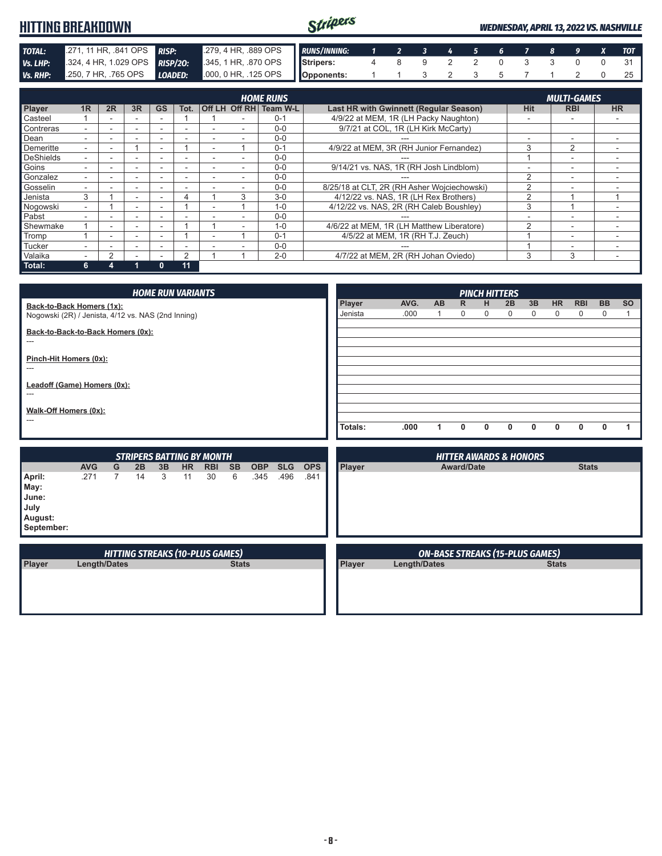| <b>HITTING BREAKDOWN</b>                                                                                                                                                                                                                                              |                                        |                                  |                                  |                                  |                              |                                                                        |                                          | Stripers                                    |                |                                          |                         |                                        |                 |                  | <b>WEDNESDAY, APRIL 13, 2022 VS. NASHVILLE</b> |                             |                      |                  |                                  |
|-----------------------------------------------------------------------------------------------------------------------------------------------------------------------------------------------------------------------------------------------------------------------|----------------------------------------|----------------------------------|----------------------------------|----------------------------------|------------------------------|------------------------------------------------------------------------|------------------------------------------|---------------------------------------------|----------------|------------------------------------------|-------------------------|----------------------------------------|-----------------|------------------|------------------------------------------------|-----------------------------|----------------------|------------------|----------------------------------|
| TOTAL:                                                                                                                                                                                                                                                                | .271, 11 HR, .841 OPS                  |                                  |                                  | <b>RISP:</b>                     |                              | .279, 4 HR, .889 OPS                                                   |                                          | <b>RUNS/INNING:</b>                         | $\mathbf{1}$   | $\overline{2}$                           | $\overline{\mathbf{3}}$ | 4                                      | $5\phantom{.0}$ | 6                | $\overline{z}$                                 | 8                           | 9                    | $\boldsymbol{x}$ | <b>TOT</b>                       |
| Vs. LHP:                                                                                                                                                                                                                                                              | .324, 4 HR, 1.029 OPS                  |                                  |                                  |                                  | <b>RISP/20:</b>              | .345, 1 HR, .870 OPS                                                   |                                          | Stripers:                                   | $\overline{4}$ | 8                                        | 9                       | $\overline{2}$                         | $\overline{2}$  | $\mathbf 0$      | 3                                              | 3                           | $\mathbf 0$          | $\mathbf 0$      | 31                               |
| <b>Vs. RHP:</b>                                                                                                                                                                                                                                                       | .250, 7 HR, .765 OPS                   |                                  |                                  | <b>LOADED:</b>                   |                              | .000, 0 HR, .125 OPS                                                   |                                          | Opponents:                                  | $\mathbf{1}$   | 1                                        | 3                       | $\overline{2}$                         | 3               | 5                | $\overline{7}$                                 | 1                           | 2                    | 0                | 25                               |
|                                                                                                                                                                                                                                                                       | <b>HOME RUNS</b><br><b>MULTI-GAMES</b> |                                  |                                  |                                  |                              |                                                                        |                                          |                                             |                |                                          |                         |                                        |                 |                  |                                                |                             |                      |                  |                                  |
| Player                                                                                                                                                                                                                                                                | 1R                                     | 2R                               | 3R                               | <b>GS</b>                        | Tot.                         | Off LH Off RH Team W-L                                                 |                                          | Last HR with Gwinnett (Regular Season)      |                |                                          |                         |                                        |                 |                  | <b>Hit</b>                                     |                             | <b>RBI</b>           |                  | <b>HR</b>                        |
| Casteel                                                                                                                                                                                                                                                               | $\mathbf{1}$                           | $\blacksquare$                   | $\sim$                           | $\sim$                           | $\mathbf{1}$                 | 1<br>$\blacksquare$                                                    | $0 - 1$                                  | 4/9/22 at MEM, 1R (LH Packy Naughton)       |                |                                          |                         |                                        |                 |                  | $\blacksquare$                                 |                             | $\sim$               |                  | $\blacksquare$                   |
| Contreras<br>Dean                                                                                                                                                                                                                                                     | $\sim$<br>$\sim$                       | $\sim$<br>$\sim$                 | $\sim$<br>$\sim$                 | $\sim$<br>$\blacksquare$         | $\sim$<br>$\blacksquare$     | $\sim$<br>÷.<br>$\blacksquare$<br>$\blacksquare$                       | $0-0$<br>$0 - 0$                         |                                             |                | 9/7/21 at COL, 1R (LH Kirk McCarty)      |                         |                                        |                 |                  | $\overline{\phantom{a}}$                       |                             | $\sim$               |                  | $\overline{\phantom{a}}$         |
| Demeritte                                                                                                                                                                                                                                                             | $\sim$                                 | $\sim$                           | $\mathbf{1}$                     | $\sim$                           | $\mathbf{1}$                 | $\mathbf{1}$<br>$\sim$                                                 | $0 - 1$                                  | 4/9/22 at MEM, 3R (RH Junior Fernandez)     |                |                                          |                         |                                        |                 |                  | 3                                              |                             | $\overline{2}$       |                  | $\blacksquare$                   |
| <b>DeShields</b>                                                                                                                                                                                                                                                      | $\sim$                                 | $\blacksquare$                   | $\blacksquare$                   | $\blacksquare$                   | $\sim$                       | $\overline{\phantom{a}}$<br>$\overline{\phantom{a}}$                   | $0 - 0$                                  |                                             |                |                                          |                         |                                        |                 |                  | $\mathbf{1}$                                   |                             | $\blacksquare$       |                  | $\overline{\phantom{a}}$         |
| Goins                                                                                                                                                                                                                                                                 | $\sim$                                 | $\sim$                           | $\sim$                           | $\blacksquare$                   | $\blacksquare$               | $\blacksquare$<br>$\blacksquare$                                       | $0-0$                                    | 9/14/21 vs. NAS, 1R (RH Josh Lindblom)      |                |                                          |                         |                                        |                 |                  | $\blacksquare$                                 |                             | $\sim$               |                  | $\blacksquare$                   |
| Gonzalez                                                                                                                                                                                                                                                              | $\sim$                                 | $\mathbb{Z}^2$                   | $\blacksquare$                   | $\blacksquare$                   | $\sim$                       | $\blacksquare$<br>$\overline{\phantom{a}}$                             | $0 - 0$                                  |                                             |                |                                          |                         |                                        |                 |                  | $\overline{2}$                                 |                             | $\sim$               |                  | $\blacksquare$                   |
| Gosselin                                                                                                                                                                                                                                                              | $\sim$                                 | $\sim$                           | $\omega$                         | $\sim$                           | $\sim$                       | $\omega$<br>$\mathcal{L}_{\mathcal{A}}$                                | $0-0$                                    | 8/25/18 at CLT, 2R (RH Asher Wojciechowski) |                |                                          |                         |                                        |                 |                  | 2                                              |                             | $\sim$               |                  | $\blacksquare$                   |
| Jenista                                                                                                                                                                                                                                                               | 3                                      | $\mathbf{1}$                     | $\blacksquare$                   | $\sim$                           | $\overline{4}$               | 3<br>$\mathbf{1}$                                                      | $3 - 0$                                  |                                             |                | 4/12/22 vs. NAS, 1R (LH Rex Brothers)    |                         |                                        |                 |                  | $\overline{2}$                                 |                             | 1                    |                  | 1                                |
| Nogowski                                                                                                                                                                                                                                                              | $\omega$                               | $\mathbf{1}$                     | $\omega$                         | $\sim$                           | $\mathbf{1}$                 | $\mathbf{1}$<br>$\omega$                                               | $1 - 0$                                  | 4/12/22 vs. NAS, 2R (RH Caleb Boushley)     |                |                                          |                         |                                        |                 |                  | 3                                              |                             | $\mathbf{1}$         |                  | $\blacksquare$                   |
| Pabst                                                                                                                                                                                                                                                                 | $\sim$                                 | $\mathbb{Z}^2$                   | $\blacksquare$                   | $\sim$                           | $\blacksquare$               | $\blacksquare$<br>$\blacksquare$                                       | $0 - 0$                                  |                                             |                |                                          |                         |                                        |                 |                  | $\blacksquare$                                 |                             | $\blacksquare$       |                  | $\blacksquare$                   |
| Shewmake                                                                                                                                                                                                                                                              | $\mathbf{1}$<br>$\mathbf{1}$           | $\blacksquare$                   | $\blacksquare$                   | $\blacksquare$                   | $\mathbf{1}$<br>$\mathbf{1}$ | $\mathbf{1}$<br>$\blacksquare$<br>$\mathbf{1}$                         | $1 - 0$<br>$0 - 1$                       | 4/6/22 at MEM, 1R (LH Matthew Liberatore)   |                |                                          |                         |                                        |                 |                  | $\overline{2}$                                 |                             | $\sim$               |                  | $\blacksquare$                   |
| Tromp<br>Tucker                                                                                                                                                                                                                                                       | $\blacksquare$                         | $\blacksquare$<br>$\blacksquare$ | $\blacksquare$<br>$\blacksquare$ | $\blacksquare$<br>$\blacksquare$ | $\mathbb{Z}^2$               | $\blacksquare$<br>$\blacksquare$<br>$\overline{\phantom{a}}$           | $0 - 0$                                  |                                             |                | 4/5/22 at MEM, 1R (RH T.J. Zeuch)<br>$-$ |                         |                                        |                 |                  | $\mathbf{1}$<br>1                              |                             | $\blacksquare$<br>÷, |                  | $\blacksquare$<br>$\blacksquare$ |
| Valaika                                                                                                                                                                                                                                                               | $\blacksquare$                         | $\overline{2}$                   | $\blacksquare$                   | $\blacksquare$                   | 2                            | $\mathbf{1}$<br>$\mathbf{1}$                                           | $2 - 0$                                  |                                             |                | 4/7/22 at MEM, 2R (RH Johan Oviedo)      |                         |                                        |                 |                  | 3                                              |                             | 3                    |                  | $\blacksquare$                   |
| Total:                                                                                                                                                                                                                                                                | 6                                      | $\overline{\mathbf{4}}$          | 1                                | $\mathbf{0}$                     | 11                           |                                                                        |                                          |                                             |                |                                          |                         |                                        |                 |                  |                                                |                             |                      |                  |                                  |
| Noqowski (2R) / Jenista, 4/12 vs. NAS (2nd Inning)<br>Back-to-Back-to-Back Homers (0x):<br>$\overline{a}$<br>Pinch-Hit Homers (0x):<br>$\overline{\phantom{a}}$<br>Leadoff (Game) Homers (0x):<br>$\overline{\phantom{a}}$<br>Walk-Off Homers (0x):<br>$\overline{a}$ |                                        |                                  |                                  |                                  |                              |                                                                        |                                          | Jenista<br>Totals:                          |                | .000<br>.000                             |                         | $\mathbf{1}$<br>0<br>$\mathbf{1}$<br>0 | 0<br>0          | $\mathbf 0$<br>0 | 0<br>$\mathbf{0}$                              | $\mathbf 0$<br>$\mathbf{0}$ | 0<br>0               | 0<br>0           | $\mathbf{1}$<br>$\mathbf{1}$     |
| April:<br>May:<br>June:<br>July<br>August:<br>September:                                                                                                                                                                                                              | <b>AVG</b><br>.271                     | G<br>$\overline{7}$              | 2B<br>14                         | 3B<br>3                          | <b>HR</b><br>11              | <b>STRIPERS BATTING BY MONTH</b><br><b>RBI</b><br><b>SB</b><br>30<br>6 | <b>OBP</b><br><b>SLG</b><br>.345<br>.496 | Player<br><b>OPS</b><br>.841                |                |                                          |                         | <b>Award/Date</b>                      |                 |                  | <b>HITTER AWARDS &amp; HONORS</b>              |                             | <b>Stats</b>         |                  |                                  |
| Player                                                                                                                                                                                                                                                                |                                        | <b>Length/Dates</b>              |                                  |                                  |                              | <b>HITTING STREAKS (10-PLUS GAMES)</b><br><b>Stats</b>                 |                                          | Player                                      |                |                                          | <b>Length/Dates</b>     |                                        |                 |                  | <b>ON-BASE STREAKS (15-PLUS GAMES)</b>         | <b>Stats</b>                |                      |                  |                                  |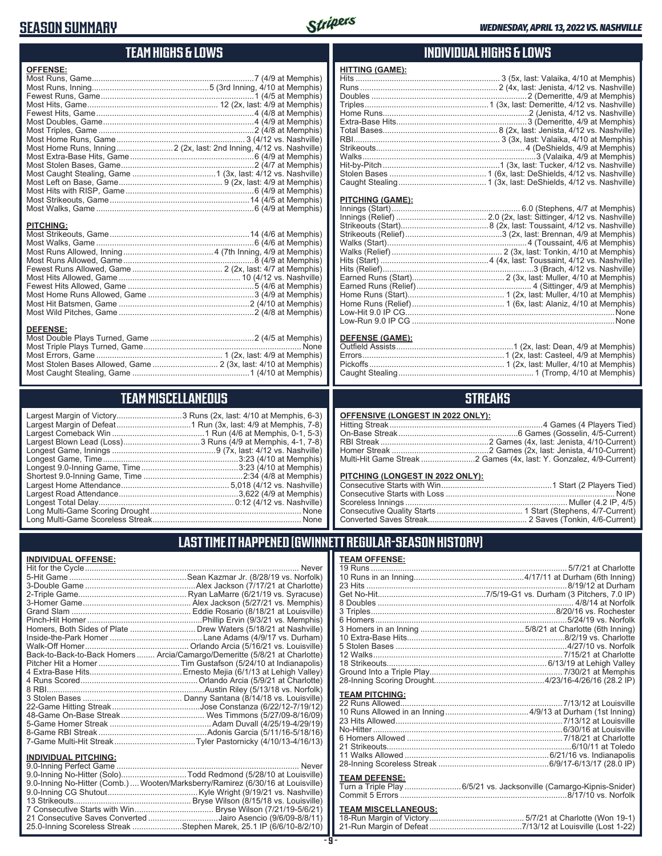### **SEASON SUMMARY**



### **TEAM HIGHS & LOWS**

| <b>OFFENSE:</b>                                                     |  |
|---------------------------------------------------------------------|--|
|                                                                     |  |
|                                                                     |  |
|                                                                     |  |
|                                                                     |  |
|                                                                     |  |
|                                                                     |  |
|                                                                     |  |
|                                                                     |  |
| Most Home Runs, Inning 2 (2x, last: 2nd Inning, 4/12 vs. Nashville) |  |
|                                                                     |  |
|                                                                     |  |
|                                                                     |  |
|                                                                     |  |
|                                                                     |  |
|                                                                     |  |
|                                                                     |  |
|                                                                     |  |
| <b>PITCHING:</b>                                                    |  |
|                                                                     |  |
|                                                                     |  |
|                                                                     |  |
| Fewest Runs Allowed Game 2.2 (2x last: 4/7 at Memphis)              |  |
|                                                                     |  |

Most Hits Allowed, Game ...................................................... 10 (4/12 vs. Nashville) Fewest Hits Allowed, Game ........................................................5 (4/6 at Memphis) Most Home Runs Allowed, Game ...............................................3 (4/9 at Memphis) Most Hit Batsmen, Game ..........................................................2 (4/10 at Memphis) Most Wild Pitches, Game ............................................................2 (4/8 at Memphis)

Most Double Plays Turned, Game ..............................................2 (4/5 at Memphis) Most Triple Plays Turned, Game ...................................................................... None Most Errors, Game ........................................................ 1 (2x, last: 4/9 at Memphis) Most Stolen Bases Allowed, Game ............................. 2 (3x, last: 4/10 at Memphis) Most Caught Stealing, Game ....................................................1 (4/10 at Memphis)

**TEAM MISCELLANEOUS** Largest Margin of Victory.............................3 Runs (2x, last: 4/10 at Memphis, 6-3) Largest Margin of Defeat.................................1 Run (3x, last: 4/9 at Memphis, 7-8) Largest Comeback Win .........................................1 Run (4/6 at Memphis, 0-1, 5-3) Largest Blown Lead (Loss) ..................................3 Runs (4/9 at Memphis, 4-1, 7-8) Longest Game, Innings ..............................................9 (7x, last: 4/12 vs. Nashville) Longest Game, Time ............................................................3:23 (4/10 at Memphis) Longest 9.0-Inning Game, Time ...........................................3:23 (4/10 at Memphis) Shortest 9.0-Inning Game, Time ............................................2:34 (4/8 at Memphis) Largest Home Attendance ................................................ 5,018 (4/12 vs. Nashville) Largest Road Attendance .....................................................3,622 (4/9 at Memphis) Longest Total Delay............................................................ 0:12 (4/12 vs. Nashville) Long Multi-Game Scoring Drought ................................................................... None Long Multi-Game Scoreless Streak .................................................................. None

#### **INDIVIDUAL HIGHS & LOWS**

| Hit-by-Pitch………………………………………………1 (3x, last: Tucker, 4/12 vs. Nashville) |  |
|------------------------------------------------------------------------|--|
|                                                                        |  |
|                                                                        |  |
|                                                                        |  |

#### **PITCHING (GAME):**

**HITTING (GAME):**

#### **DEFENSE (GAME):**

### **STREAKS**

| OFFENSIVE (LONGEST IN 2022 ONLY): |  |  |
|-----------------------------------|--|--|
|-----------------------------------|--|--|

| Multi-Hit Game Streak 2 Games (4x, last: Y. Gonzalez, 4/9-Current) |
|--------------------------------------------------------------------|

#### **PITCHING (LONGEST IN 2022 ONLY):**

19 Runs ....................................................................................... 5/7/21 at Charlotte 10 Runs in an Inning.................................................4/17/11 at Durham (6th Inning) 23 Hits .........................................................................................8/19/12 at Durham Get No-Hit................................................7/5/19-G1 vs. Durham (3 Pitchers, 7.0 IP) 8 Doubles ....................................................................................... 4/8/14 at Norfolk 3 Triples..................................................................................8/20/16 vs. Rochester 6 Homers.....................................................................................5/24/19 vs. Norfolk 3 Homers in an Inning ..............................................5/8/21 at Charlotte (6th Inning) 10 Extra-Base Hits......................................................................8/2/19 vs. Charlotte 5 Stolen Bases ............................................................................4/27/10 vs. Norfolk 12 Walks.................................................................................... 7/15/21 at Charlotte 18 Strikeouts....................................................................... 6/13/19 at Lehigh Valley Ground Into a Triple Play........................................................... 7/30/21 at Memphis 28-Inning Scoring Drought.................................................4/23/16-4/26/16 (28.2 IP)

22 Runs Allowed........................................................................7/13/12 at Louisville 10 Runs Allowed in an Inning .....................................4/9/13 at Durham (1st Inning) 23 Hits Allowed ..........................................................................7/13/12 at Louisville No-Hitter ....................................................................................6/30/16 at Louisville 6 Homers Allowed ..................................................................... 7/18/21 at Charlotte 21 Strikeouts..................................................................................6/10/11 at Toledo 11 Walks Allowed ................................................................6/21/16 vs. Indianapolis 28-Inning Scoreless Streak .................................................6/9/17-6/13/17 (28.0 IP) **TEAM DEFENSE:** Turn a Triple Play .........................6/5/21 vs. Jacksonville (Camargo-Kipnis-Snider) Commit 5 Errors ..........................................................................8/17/10 vs. Norfolk **TEAM MISCELLANEOUS:** 18-Run Margin of Victory .......................................... 5/7/21 at Charlotte (Won 19-1) 21-Run Margin of Defeat .........................................7/13/12 at Louisville (Lost 1-22)

### **LAST TIME IT HAPPENED (GWINNETT REGULAR-SEASON HISTORY)**

**TEAM OFFENSE:**

**TEAM PITCHING:**

#### **INDIVIDUAL OFFENSE:**

**DEFENSE:**

|                                                            | Homers, Both Sides of Plate  Drew Waters (5/18/21 at Nashville)            |
|------------------------------------------------------------|----------------------------------------------------------------------------|
|                                                            |                                                                            |
|                                                            |                                                                            |
|                                                            | Back-to-Back-to-Back Homers  Arcia/Camargo/Demeritte (5/8/21 at Charlotte) |
|                                                            |                                                                            |
|                                                            |                                                                            |
|                                                            |                                                                            |
|                                                            |                                                                            |
|                                                            |                                                                            |
|                                                            |                                                                            |
|                                                            |                                                                            |
|                                                            |                                                                            |
|                                                            |                                                                            |
|                                                            |                                                                            |
|                                                            |                                                                            |
| <b>INDIVIDUAL PITCHING:</b><br>0.0 Institute Deutsch-Compa | <b>N</b> Lassau                                                            |

| 1110111007111101111101 |                                                                                |
|------------------------|--------------------------------------------------------------------------------|
|                        |                                                                                |
|                        | 9.0-Inning No-Hitter (Solo)Todd Redmond (5/28/10 at Louisville)                |
|                        | 9.0-Inning No-Hitter (Comb.) Wooten/Marksberry/Ramirez (6/30/16 at Louisville) |
|                        |                                                                                |
|                        |                                                                                |
|                        |                                                                                |
|                        | 21 Consecutive Saves Converted Jairo Asencio (9/6/09-8/8/11)                   |
|                        | 25.0-Inning Scoreless Streak Stephen Marek, 25.1 IP (6/6/10-8/2/10)            |
|                        |                                                                                |